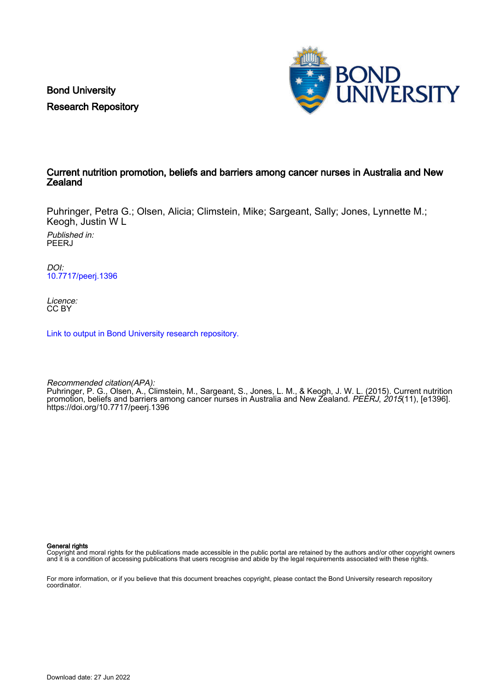Bond University Research Repository



### Current nutrition promotion, beliefs and barriers among cancer nurses in Australia and New **Zealand**

Puhringer, Petra G.; Olsen, Alicia; Climstein, Mike; Sargeant, Sally; Jones, Lynnette M.; Keogh, Justin W L

Published in: **PEERJ** 

DOI: [10.7717/peerj.1396](https://doi.org/10.7717/peerj.1396)

Licence: CC BY

[Link to output in Bond University research repository.](https://research.bond.edu.au/en/publications/587ee79f-6217-419a-b514-a4a210c5411c)

Recommended citation(APA): Puhringer, P. G., Olsen, A., Climstein, M., Sargeant, S., Jones, L. M., & Keogh, J. W. L. (2015). Current nutrition promotion, beliefs and barriers among cancer nurses in Australia and New Zealand. *PEERJ, 2015*(11), [e1396]. <https://doi.org/10.7717/peerj.1396>

General rights

Copyright and moral rights for the publications made accessible in the public portal are retained by the authors and/or other copyright owners and it is a condition of accessing publications that users recognise and abide by the legal requirements associated with these rights.

For more information, or if you believe that this document breaches copyright, please contact the Bond University research repository coordinator.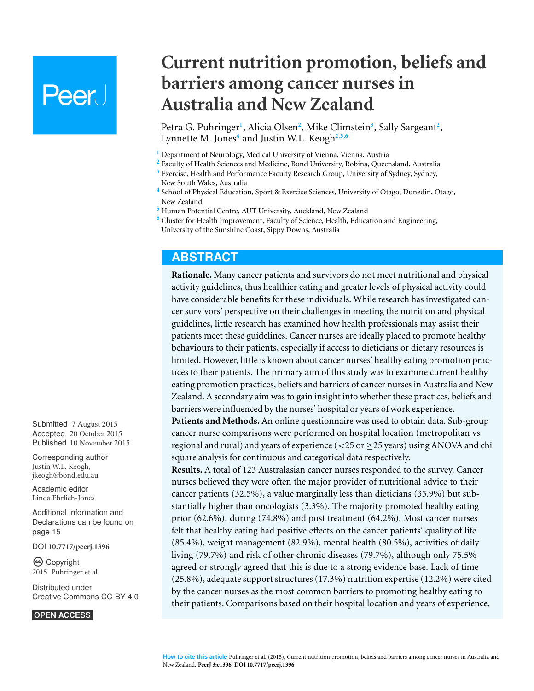# **Peer**

Petra G. Puhringer<sup>1</sup>, Alicia Olsen<sup>2</sup>, Mike Climstein<sup>3</sup>, Sally Sargeant<sup>2</sup>, Lynnette M. Jones**<sup>4</sup>** and Justin W.L. Keogh**2,5,6**

**barriers among cancer nurses in**

**Current nutrition promotion, beliefs and**

**<sup>1</sup>** Department of Neurology, Medical University of Vienna, Vienna, Austria

**Australia and New Zealand**

- **<sup>2</sup>** Faculty of Health Sciences and Medicine, Bond University, Robina, Queensland, Australia
- **<sup>3</sup>** Exercise, Health and Performance Faculty Research Group, University of Sydney, Sydney, New South Wales, Australia
- **4** School of Physical Education, Sport & Exercise Sciences, University of Otago, Dunedin, Otago, New Zealand
- **<sup>5</sup>** Human Potential Centre, AUT University, Auckland, New Zealand
- **<sup>6</sup>** Cluster for Health Improvement, Faculty of Science, Health, Education and Engineering, University of the Sunshine Coast, Sippy Downs, Australia

# **ABSTRACT**

**Rationale.** Many cancer patients and survivors do not meet nutritional and physical activity guidelines, thus healthier eating and greater levels of physical activity could have considerable benefits for these individuals. While research has investigated cancer survivors' perspective on their challenges in meeting the nutrition and physical guidelines, little research has examined how health professionals may assist their patients meet these guidelines. Cancer nurses are ideally placed to promote healthy behaviours to their patients, especially if access to dieticians or dietary resources is limited. However, little is known about cancer nurses' healthy eating promotion practices to their patients. The primary aim of this study was to examine current healthy eating promotion practices, beliefs and barriers of cancer nurses in Australia and New Zealand. A secondary aim was to gain insight into whether these practices, beliefs and barriers were influenced by the nurses' hospital or years of work experience.

**Patients and Methods.** An online questionnaire was used to obtain data. Sub-group cancer nurse comparisons were performed on hospital location (metropolitan vs regional and rural) and years of experience ( $<$ 25 or  $\geq$ 25 years) using ANOVA and chi square analysis for continuous and categorical data respectively.

**Results.** A total of 123 Australasian cancer nurses responded to the survey. Cancer nurses believed they were often the major provider of nutritional advice to their cancer patients (32.5%), a value marginally less than dieticians (35.9%) but substantially higher than oncologists (3.3%). The majority promoted healthy eating prior (62.6%), during (74.8%) and post treatment (64.2%). Most cancer nurses felt that healthy eating had positive effects on the cancer patients' quality of life (85.4%), weight management (82.9%), mental health (80.5%), activities of daily living (79.7%) and risk of other chronic diseases (79.7%), although only 75.5% agreed or strongly agreed that this is due to a strong evidence base. Lack of time (25.8%), adequate support structures (17.3%) nutrition expertise (12.2%) were cited by the cancer nurses as the most common barriers to promoting healthy eating to their patients. Comparisons based on their hospital location and years of experience,

Submitted 7 August 2015 Accepted 20 October 2015 Published 10 November 2015

Corresponding author Justin W.L. Keogh, [jkeogh@bond.edu.au](mailto:jkeogh@bond.edu.au)

[Academic editor](https://peerj.com/academic-boards/editors/) [Linda Ehrlich-Jones](https://peerj.com/academic-boards/editors/)

[Additional Information and](#page-15-0) [Declarations can be found on](#page-15-0) [page 15](#page-15-0)

[DOI](http://dx.doi.org/10.7717/peerj.1396) **[10.7717/peerj.1396](http://dx.doi.org/10.7717/peerj.1396)**

Copyright 2015 Puhringer et al.

[Distributed under](http://creativecommons.org/licenses/by/4.0/) [Creative Commons CC-BY 4.0](http://creativecommons.org/licenses/by/4.0/)

#### **OPEN ACCESS**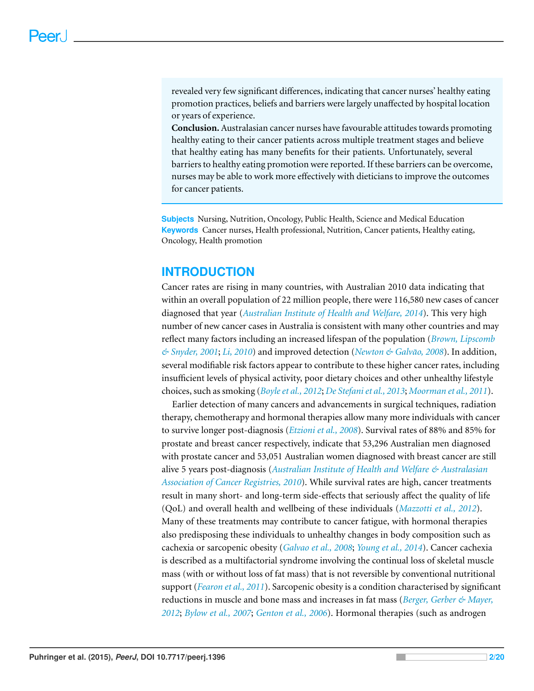revealed very few significant differences, indicating that cancer nurses' healthy eating promotion practices, beliefs and barriers were largely unaffected by hospital location or years of experience.

**Conclusion.** Australasian cancer nurses have favourable attitudes towards promoting healthy eating to their cancer patients across multiple treatment stages and believe that healthy eating has many benefits for their patients. Unfortunately, several barriers to healthy eating promotion were reported. If these barriers can be overcome, nurses may be able to work more effectively with dieticians to improve the outcomes for cancer patients.

**Subjects** Nursing, Nutrition, Oncology, Public Health, Science and Medical Education **Keywords** Cancer nurses, Health professional, Nutrition, Cancer patients, Healthy eating, Oncology, Health promotion

# **INTRODUCTION**

Cancer rates are rising in many countries, with Australian 2010 data indicating that within an overall population of 22 million people, there were 116,580 new cases of cancer diagnosed that year (*[Australian](#page-16-0) [Institute](#page-16-0) [of](#page-16-0) [Health](#page-16-0) [and](#page-16-0) [Welfare,](#page-16-0) [2014](#page-16-0)*). This very high number of new cancer cases in Australia is consistent with many other countries and may reflect many factors including an increased lifespan of the population (*[Brown,](#page-17-0) [Lipscomb](#page-17-0) [&](#page-17-0) [Snyder,](#page-17-0) [2001](#page-17-0)*; *[Li,](#page-19-0) [2010](#page-19-0)*) and improved detection (*[Newton](#page-19-1) [&](#page-19-1) [Galvao,](#page-19-1) ˜ [2008](#page-19-1)*). In addition, several modifiable risk factors appear to contribute to these higher cancer rates, including insufficient levels of physical activity, poor dietary choices and other unhealthy lifestyle choices, such as smoking (*[Boyleet](#page-16-1) [al.,](#page-16-1) [2012](#page-16-1)*; *[De](#page-17-1) [Stefaniet](#page-17-1) [al.,](#page-17-1) [2013](#page-17-1)*; *[Moorman](#page-19-2) [et](#page-19-2) [al.,](#page-19-2) [2011](#page-19-2)*).

Earlier detection of many cancers and advancements in surgical techniques, radiation therapy, chemotherapy and hormonal therapies allow many more individuals with cancer to survive longer post-diagnosis (*[Etzioni](#page-17-2) [et](#page-17-2) [al.,](#page-17-2) [2008](#page-17-2)*). Survival rates of 88% and 85% for prostate and breast cancer respectively, indicate that 53,296 Australian men diagnosed with prostate cancer and 53,051 Australian women diagnosed with breast cancer are still alive 5 years post-diagnosis (*[Australian](#page-16-2) [Institute](#page-16-2) [of](#page-16-2) [Health](#page-16-2) [and](#page-16-2) [Welfare](#page-16-2) [&](#page-16-2) [Australasian](#page-16-2) [Association](#page-16-2) [of](#page-16-2) [Cancer](#page-16-2) [Registries,](#page-16-2) [2010](#page-16-2)*). While survival rates are high, cancer treatments result in many short- and long-term side-effects that seriously affect the quality of life (QoL) and overall health and wellbeing of these individuals (*[Mazzotti](#page-19-3) [et](#page-19-3) [al.,](#page-19-3) [2012](#page-19-3)*). Many of these treatments may contribute to cancer fatigue, with hormonal therapies also predisposing these individuals to unhealthy changes in body composition such as cachexia or sarcopenic obesity (*[Galvao](#page-18-0) [et](#page-18-0) [al.,](#page-18-0) [2008](#page-18-0)*; *[Young](#page-20-0) [et](#page-20-0) [al.,](#page-20-0) [2014](#page-20-0)*). Cancer cachexia is described as a multifactorial syndrome involving the continual loss of skeletal muscle mass (with or without loss of fat mass) that is not reversible by conventional nutritional support (*[Fearon](#page-17-3) [et](#page-17-3) [al.,](#page-17-3) [2011](#page-17-3)*). Sarcopenic obesity is a condition characterised by significant reductions in muscle and bone mass and increases in fat mass (*[Berger,](#page-16-3) [Gerber](#page-16-3) [&](#page-16-3) [Mayer,](#page-16-3) [2012](#page-16-3)*; *[Bylow](#page-17-4) [et](#page-17-4) [al.,](#page-17-4) [2007](#page-17-4)*; *[Genton](#page-18-1) [et](#page-18-1) [al.,](#page-18-1) [2006](#page-18-1)*). Hormonal therapies (such as androgen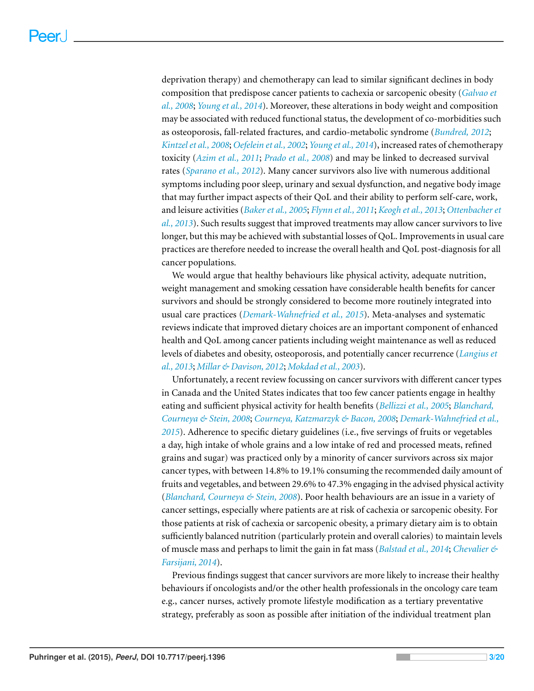deprivation therapy) and chemotherapy can lead to similar significant declines in body composition that predispose cancer patients to cachexia or sarcopenic obesity (*[Galvao](#page-18-0) [et](#page-18-0) [al.,](#page-18-0) [2008](#page-18-0)*; *[Young](#page-20-0) [et](#page-20-0) [al.,](#page-20-0) [2014](#page-20-0)*). Moreover, these alterations in body weight and composition may be associated with reduced functional status, the development of co-morbidities such as osteoporosis, fall-related fractures, and cardio-metabolic syndrome (*[Bundred,](#page-17-5) [2012](#page-17-5)*; *[Kintzelet](#page-19-4) [al.,](#page-19-4) [2008](#page-19-4)*; *[Oefelein](#page-19-5) [et](#page-19-5) [al.,](#page-19-5) [2002](#page-19-5)*; *[Young](#page-20-0) [et](#page-20-0) [al.,](#page-20-0) [2014](#page-20-0)*), increased rates of chemotherapy toxicity (*[Azim](#page-16-4) [et](#page-16-4) [al.,](#page-16-4) [2011](#page-16-4)*; *[Prado](#page-19-6) [et](#page-19-6) [al.,](#page-19-6) [2008](#page-19-6)*) and may be linked to decreased survival rates (*[Sparano](#page-20-1) [et](#page-20-1) [al.,](#page-20-1) [2012](#page-20-1)*). Many cancer survivors also live with numerous additional symptoms including poor sleep, urinary and sexual dysfunction, and negative body image that may further impact aspects of their QoL and their ability to perform self-care, work, and leisure activities (*[Baker](#page-16-5) [et](#page-16-5) [al.,](#page-16-5) [2005](#page-16-5)*; *[Flynn](#page-18-2) [et](#page-18-2) [al.,](#page-18-2) [2011](#page-18-2)*; *[Keogh](#page-18-3) [et](#page-18-3) [al.,](#page-18-3) [2013](#page-18-3)*; *[Ottenbacher](#page-19-7) [et](#page-19-7) [al.,](#page-19-7) [2013](#page-19-7)*). Such results suggest that improved treatments may allow cancer survivors to live longer, but this may be achieved with substantial losses of QoL. Improvements in usual care practices are therefore needed to increase the overall health and QoL post-diagnosis for all cancer populations.

We would argue that healthy behaviours like physical activity, adequate nutrition, weight management and smoking cessation have considerable health benefits for cancer survivors and should be strongly considered to become more routinely integrated into usual care practices (*[Demark-Wahnefried](#page-17-6) [et](#page-17-6) [al.,](#page-17-6) [2015](#page-17-6)*). Meta-analyses and systematic reviews indicate that improved dietary choices are an important component of enhanced health and QoL among cancer patients including weight maintenance as well as reduced levels of diabetes and obesity, osteoporosis, and potentially cancer recurrence (*[Langius](#page-19-8) [et](#page-19-8) [al.,](#page-19-8) [2013](#page-19-8)*; *[Millar](#page-19-9) [&](#page-19-9) [Davison,](#page-19-9) [2012](#page-19-9)*; *[Mokdad](#page-19-10) [et](#page-19-10) [al.,](#page-19-10) [2003](#page-19-10)*).

Unfortunately, a recent review focussing on cancer survivors with different cancer types in Canada and the United States indicates that too few cancer patients engage in healthy eating and sufficient physical activity for health benefits (*[Bellizzi](#page-16-6) [et](#page-16-6) [al.,](#page-16-6) [2005](#page-16-6)*; *[Blanchard,](#page-16-7) [Courneya](#page-16-7) [&](#page-16-7) [Stein,](#page-16-7) [2008](#page-16-7)*; *[Courneya,](#page-17-7) [Katzmarzyk](#page-17-7) [&](#page-17-7) [Bacon,](#page-17-7) [2008](#page-17-7)*; *[Demark-Wahnefried](#page-17-6) [et](#page-17-6) [al.,](#page-17-6) [2015](#page-17-6)*). Adherence to specific dietary guidelines (i.e., five servings of fruits or vegetables a day, high intake of whole grains and a low intake of red and processed meats, refined grains and sugar) was practiced only by a minority of cancer survivors across six major cancer types, with between 14.8% to 19.1% consuming the recommended daily amount of fruits and vegetables, and between 29.6% to 47.3% engaging in the advised physical activity (*[Blanchard,](#page-16-7) [Courneya](#page-16-7) [&](#page-16-7) [Stein,](#page-16-7) [2008](#page-16-7)*). Poor health behaviours are an issue in a variety of cancer settings, especially where patients are at risk of cachexia or sarcopenic obesity. For those patients at risk of cachexia or sarcopenic obesity, a primary dietary aim is to obtain sufficiently balanced nutrition (particularly protein and overall calories) to maintain levels of muscle mass and perhaps to limit the gain in fat mass (*[Balstad](#page-16-8) [et](#page-16-8) [al.,](#page-16-8) [2014](#page-16-8)*; *[Chevalier](#page-17-8) [&](#page-17-8) [Farsijani,](#page-17-8) [2014](#page-17-8)*).

Previous findings suggest that cancer survivors are more likely to increase their healthy behaviours if oncologists and/or the other health professionals in the oncology care team e.g., cancer nurses, actively promote lifestyle modification as a tertiary preventative strategy, preferably as soon as possible after initiation of the individual treatment plan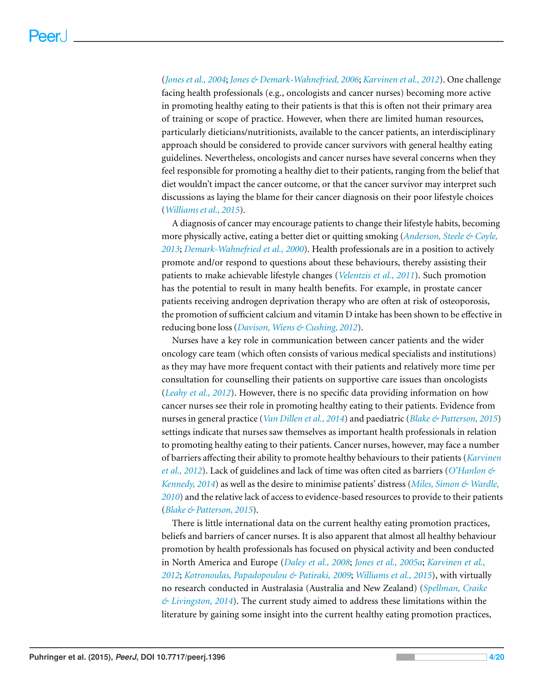(*[Jones](#page-18-4) [et](#page-18-4) [al.,](#page-18-4) [2004](#page-18-4)*; *[Jones](#page-18-5) [&](#page-18-5) [Demark-Wahnefried,](#page-18-5) [2006](#page-18-5)*; *[Karvinen](#page-18-6) [et](#page-18-6) [al.,](#page-18-6) [2012](#page-18-6)*). One challenge facing health professionals (e.g., oncologists and cancer nurses) becoming more active in promoting healthy eating to their patients is that this is often not their primary area of training or scope of practice. However, when there are limited human resources, particularly dieticians/nutritionists, available to the cancer patients, an interdisciplinary approach should be considered to provide cancer survivors with general healthy eating guidelines. Nevertheless, oncologists and cancer nurses have several concerns when they feel responsible for promoting a healthy diet to their patients, ranging from the belief that diet wouldn't impact the cancer outcome, or that the cancer survivor may interpret such discussions as laying the blame for their cancer diagnosis on their poor lifestyle choices (*[Williamset](#page-20-2) [al.,](#page-20-2) [2015](#page-20-2)*).

A diagnosis of cancer may encourage patients to change their lifestyle habits, becoming more physically active, eating a better diet or quitting smoking (*[Anderson,](#page-16-9) [Steele](#page-16-9) [&](#page-16-9) [Coyle,](#page-16-9) [2013](#page-16-9)*; *[Demark-Wahnefried](#page-17-9) [et](#page-17-9) [al.,](#page-17-9) [2000](#page-17-9)*). Health professionals are in a position to actively promote and/or respond to questions about these behaviours, thereby assisting their patients to make achievable lifestyle changes (*[Velentzis](#page-20-3) [et](#page-20-3) [al.,](#page-20-3) [2011](#page-20-3)*). Such promotion has the potential to result in many health benefits. For example, in prostate cancer patients receiving androgen deprivation therapy who are often at risk of osteoporosis, the promotion of sufficient calcium and vitamin D intake has been shown to be effective in reducing bone loss (*[Davison,](#page-17-10) [Wiens](#page-17-10) [&](#page-17-10) [Cushing,](#page-17-10) [2012](#page-17-10)*).

Nurses have a key role in communication between cancer patients and the wider oncology care team (which often consists of various medical specialists and institutions) as they may have more frequent contact with their patients and relatively more time per consultation for counselling their patients on supportive care issues than oncologists (*[Leahy](#page-19-11) [et](#page-19-11) [al.,](#page-19-11) [2012](#page-19-11)*). However, there is no specific data providing information on how cancer nurses see their role in promoting healthy eating to their patients. Evidence from nurses in general practice (*[Van](#page-20-4) [Dillen](#page-20-4) [et](#page-20-4) [al.,](#page-20-4) [2014](#page-20-4)*) and paediatric (*[Blake](#page-16-10) [&](#page-16-10) [Patterson,](#page-16-10) [2015](#page-16-10)*) settings indicate that nurses saw themselves as important health professionals in relation to promoting healthy eating to their patients. Cancer nurses, however, may face a number of barriers affecting their ability to promote healthy behaviours to their patients (*[Karvinen](#page-18-6) [et](#page-18-6) [al.,](#page-18-6) [2012](#page-18-6)*). Lack of guidelines and lack of time was often cited as barriers (*[O'Hanlon](#page-19-12) [&](#page-19-12) [Kennedy,](#page-19-12) [2014](#page-19-12)*) as well as the desire to minimise patients' distress (*[Miles,](#page-19-13) [Simon](#page-19-13) [&](#page-19-13) [Wardle,](#page-19-13) [2010](#page-19-13)*) and the relative lack of access to evidence-based resources to provide to their patients (*[Blake](#page-16-10) [&](#page-16-10) [Patterson,](#page-16-10) [2015](#page-16-10)*).

There is little international data on the current healthy eating promotion practices, beliefs and barriers of cancer nurses. It is also apparent that almost all healthy behaviour promotion by health professionals has focused on physical activity and been conducted in North America and Europe (*[Daley](#page-17-11) [et](#page-17-11) [al.,](#page-17-11) [2008](#page-17-11)*; *[Jones](#page-18-7) [et](#page-18-7) [al.,](#page-18-7) [2005a](#page-18-7)*; *[Karvinen](#page-18-6) [et](#page-18-6) [al.,](#page-18-6) [2012](#page-18-6)*; *[Kotronoulas,](#page-19-14) [Papadopoulou](#page-19-14) [&](#page-19-14) [Patiraki,](#page-19-14) [2009](#page-19-14)*; *[Williams](#page-20-2) [et](#page-20-2) [al.,](#page-20-2) [2015](#page-20-2)*), with virtually no research conducted in Australasia (Australia and New Zealand) (*[Spellman,](#page-20-5) [Craike](#page-20-5) [&](#page-20-5) [Livingston,](#page-20-5) [2014](#page-20-5)*). The current study aimed to address these limitations within the literature by gaining some insight into the current healthy eating promotion practices,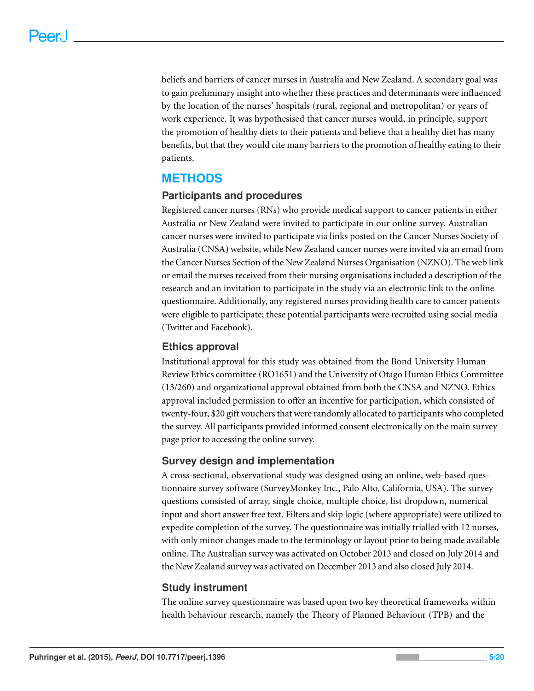beliefs and barriers of cancer nurses in Australia and New Zealand. A secondary goal was to gain preliminary insight into whether these practices and determinants were influenced by the location of the nurses' hospitals (rural, regional and metropolitan) or years of work experience. It was hypothesised that cancer nurses would, in principle, support the promotion of healthy diets to their patients and believe that a healthy diet has many benefits, but that they would cite many barriers to the promotion of healthy eating to their patients.

# **METHODS**

# **Participants and procedures**

Registered cancer nurses (RNs) who provide medical support to cancer patients in either Australia or New Zealand were invited to participate in our online survey. Australian cancer nurses were invited to participate via links posted on the Cancer Nurses Society of Australia (CNSA) website, while New Zealand cancer nurses were invited via an email from the Cancer Nurses Section of the New Zealand Nurses Organisation (NZNO). The web link or email the nurses received from their nursing organisations included a description of the research and an invitation to participate in the study via an electronic link to the online questionnaire. Additionally, any registered nurses providing health care to cancer patients were eligible to participate; these potential participants were recruited using social media (Twitter and Facebook).

# **Ethics approval**

Institutional approval for this study was obtained from the Bond University Human Review Ethics committee (RO1651) and the University of Otago Human Ethics Committee (13/260) and organizational approval obtained from both the CNSA and NZNO. Ethics approval included permission to offer an incentive for participation, which consisted of twenty-four, \$20 gift vouchers that were randomly allocated to participants who completed the survey. All participants provided informed consent electronically on the main survey page prior to accessing the online survey.

# **Survey design and implementation**

A cross-sectional, observational study was designed using an online, web-based questionnaire survey software (SurveyMonkey Inc., Palo Alto, California, USA). The survey questions consisted of array, single choice, multiple choice, list dropdown, numerical input and short answer free text. Filters and skip logic (where appropriate) were utilized to expedite completion of the survey. The questionnaire was initially trialled with 12 nurses, with only minor changes made to the terminology or layout prior to being made available online. The Australian survey was activated on October 2013 and closed on July 2014 and the New Zealand survey was activated on December 2013 and also closed July 2014.

# **Study instrument**

The online survey questionnaire was based upon two key theoretical frameworks within health behaviour research, namely the Theory of Planned Behaviour (TPB) and the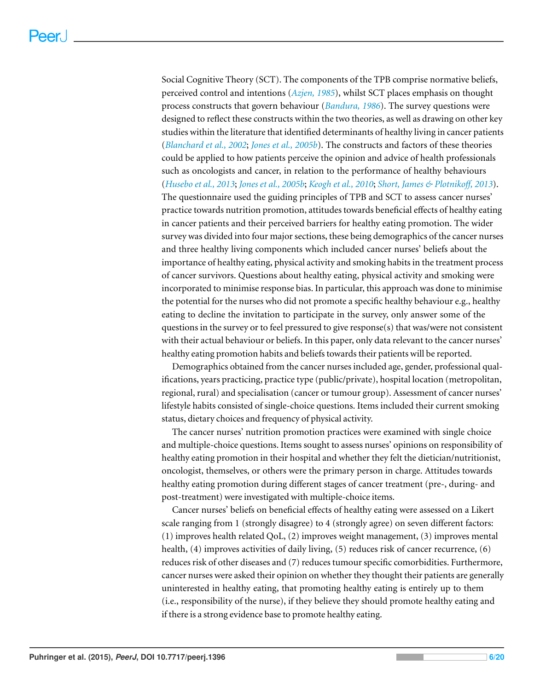Social Cognitive Theory (SCT). The components of the TPB comprise normative beliefs, perceived control and intentions (*[Azjen,](#page-16-11) [1985](#page-16-11)*), whilst SCT places emphasis on thought process constructs that govern behaviour (*[Bandura,](#page-16-12) [1986](#page-16-12)*). The survey questions were designed to reflect these constructs within the two theories, as well as drawing on other key studies within the literature that identified determinants of healthy living in cancer patients (*[Blanchard](#page-16-13) [et](#page-16-13) [al.,](#page-16-13) [2002](#page-16-13)*; *[Jones](#page-18-8) [et](#page-18-8) [al.,](#page-18-8) [2005b](#page-18-8)*). The constructs and factors of these theories could be applied to how patients perceive the opinion and advice of health professionals such as oncologists and cancer, in relation to the performance of healthy behaviours ([Husebo](#page-18-9) [et](#page-18-10) [al.,](#page-18-10) [2013](#page-20-6); [Jones](#page-18-8) et al., [2005b](#page-18-8); [Keogh](#page-18-10) et al., [2010](#page-18-10); [Short,](#page-20-6) [James](#page-20-6) [&](#page-20-6) [Plotniko](#page-20-6)ff, 2013). The questionnaire used the guiding principles of TPB and SCT to assess cancer nurses' practice towards nutrition promotion, attitudes towards beneficial effects of healthy eating in cancer patients and their perceived barriers for healthy eating promotion. The wider survey was divided into four major sections, these being demographics of the cancer nurses and three healthy living components which included cancer nurses' beliefs about the importance of healthy eating, physical activity and smoking habits in the treatment process of cancer survivors. Questions about healthy eating, physical activity and smoking were incorporated to minimise response bias. In particular, this approach was done to minimise the potential for the nurses who did not promote a specific healthy behaviour e.g., healthy eating to decline the invitation to participate in the survey, only answer some of the questions in the survey or to feel pressured to give response(s) that was/were not consistent with their actual behaviour or beliefs. In this paper, only data relevant to the cancer nurses' healthy eating promotion habits and beliefs towards their patients will be reported.

Demographics obtained from the cancer nurses included age, gender, professional qualifications, years practicing, practice type (public/private), hospital location (metropolitan, regional, rural) and specialisation (cancer or tumour group). Assessment of cancer nurses' lifestyle habits consisted of single-choice questions. Items included their current smoking status, dietary choices and frequency of physical activity.

The cancer nurses' nutrition promotion practices were examined with single choice and multiple-choice questions. Items sought to assess nurses' opinions on responsibility of healthy eating promotion in their hospital and whether they felt the dietician/nutritionist, oncologist, themselves, or others were the primary person in charge. Attitudes towards healthy eating promotion during different stages of cancer treatment (pre-, during- and post-treatment) were investigated with multiple-choice items.

Cancer nurses' beliefs on beneficial effects of healthy eating were assessed on a Likert scale ranging from 1 (strongly disagree) to 4 (strongly agree) on seven different factors: (1) improves health related QoL, (2) improves weight management, (3) improves mental health, (4) improves activities of daily living, (5) reduces risk of cancer recurrence, (6) reduces risk of other diseases and (7) reduces tumour specific comorbidities. Furthermore, cancer nurses were asked their opinion on whether they thought their patients are generally uninterested in healthy eating, that promoting healthy eating is entirely up to them (i.e., responsibility of the nurse), if they believe they should promote healthy eating and if there is a strong evidence base to promote healthy eating.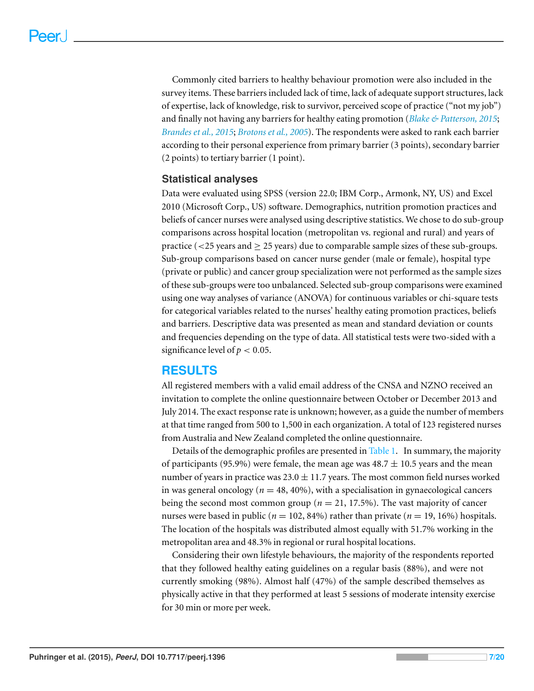Commonly cited barriers to healthy behaviour promotion were also included in the survey items. These barriers included lack of time, lack of adequate support structures, lack of expertise, lack of knowledge, risk to survivor, perceived scope of practice ("not my job") and finally not having any barriers for healthy eating promotion (*[Blake](#page-16-10) [&](#page-16-10) [Patterson,](#page-16-10) [2015](#page-16-10)*; *[Brandes](#page-16-14) [et](#page-16-14) [al.,](#page-16-14) [2015](#page-16-14)*; *[Brotons](#page-17-12) [et](#page-17-12) [al.,](#page-17-12) [2005](#page-17-12)*). The respondents were asked to rank each barrier according to their personal experience from primary barrier (3 points), secondary barrier (2 points) to tertiary barrier (1 point).

## **Statistical analyses**

Data were evaluated using SPSS (version 22.0; IBM Corp., Armonk, NY, US) and Excel 2010 (Microsoft Corp., US) software. Demographics, nutrition promotion practices and beliefs of cancer nurses were analysed using descriptive statistics. We chose to do sub-group comparisons across hospital location (metropolitan vs. regional and rural) and years of practice ( $\langle$ 25 years and  $\geq$  25 years) due to comparable sample sizes of these sub-groups. Sub-group comparisons based on cancer nurse gender (male or female), hospital type (private or public) and cancer group specialization were not performed as the sample sizes of these sub-groups were too unbalanced. Selected sub-group comparisons were examined using one way analyses of variance (ANOVA) for continuous variables or chi-square tests for categorical variables related to the nurses' healthy eating promotion practices, beliefs and barriers. Descriptive data was presented as mean and standard deviation or counts and frequencies depending on the type of data. All statistical tests were two-sided with a significance level of  $p < 0.05$ .

# **RESULTS**

All registered members with a valid email address of the CNSA and NZNO received an invitation to complete the online questionnaire between October or December 2013 and July 2014. The exact response rate is unknown; however, as a guide the number of members at that time ranged from 500 to 1,500 in each organization. A total of 123 registered nurses from Australia and New Zealand completed the online questionnaire.

Details of the demographic profiles are presented in [Table 1.](#page-8-0) In summary, the majority of participants (95.9%) were female, the mean age was  $48.7 \pm 10.5$  years and the mean number of years in practice was  $23.0 \pm 11.7$  years. The most common field nurses worked in was general oncology ( $n = 48, 40\%$ ), with a specialisation in gynaecological cancers being the second most common group ( $n = 21, 17.5\%$ ). The vast majority of cancer nurses were based in public ( $n = 102, 84\%$ ) rather than private ( $n = 19, 16\%$ ) hospitals. The location of the hospitals was distributed almost equally with 51.7% working in the metropolitan area and 48.3% in regional or rural hospital locations.

Considering their own lifestyle behaviours, the majority of the respondents reported that they followed healthy eating guidelines on a regular basis (88%), and were not currently smoking (98%). Almost half (47%) of the sample described themselves as physically active in that they performed at least 5 sessions of moderate intensity exercise for 30 min or more per week.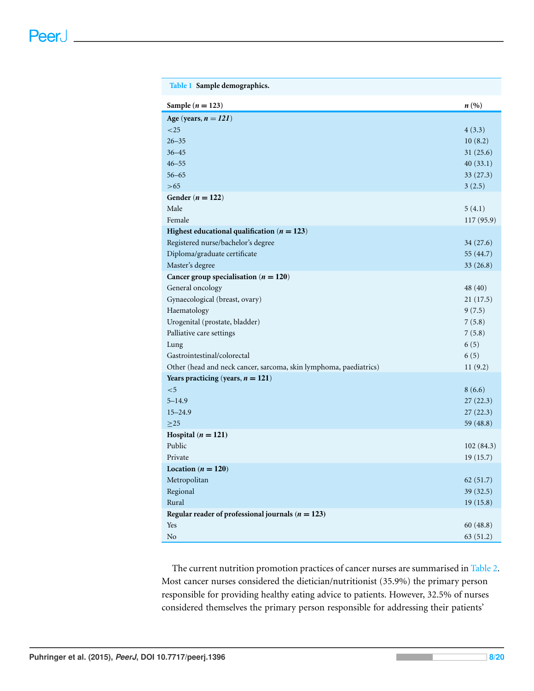<span id="page-8-0"></span>

| Table 1 Sample demographics.                                      |                    |
|-------------------------------------------------------------------|--------------------|
| Sample ( $n = 123$ )                                              | $n\left(\%\right)$ |
| Age (years, $n = 121$ )                                           |                    |
| ${<}25$                                                           | 4(3.3)             |
| $26 - 35$                                                         | 10(8.2)            |
| $36 - 45$                                                         | 31(25.6)           |
| $46 - 55$                                                         | 40(33.1)           |
| $56 - 65$                                                         | 33(27.3)           |
| > 65                                                              | 3(2.5)             |
| Gender ( $n = 122$ )                                              |                    |
| Male                                                              | 5(4.1)             |
| Female                                                            | 117 (95.9)         |
| Highest educational qualification ( $n = 123$ )                   |                    |
| Registered nurse/bachelor's degree                                | 34(27.6)           |
| Diploma/graduate certificate                                      | 55 (44.7)          |
| Master's degree                                                   | 33(26.8)           |
| Cancer group specialisation ( $n = 120$ )                         |                    |
| General oncology                                                  | 48 (40)            |
| Gynaecological (breast, ovary)                                    | 21(17.5)           |
| Haematology                                                       | 9(7.5)             |
| Urogenital (prostate, bladder)                                    | 7(5.8)             |
| Palliative care settings                                          | 7(5.8)             |
| Lung                                                              | 6(5)               |
| Gastrointestinal/colorectal                                       | 6(5)               |
| Other (head and neck cancer, sarcoma, skin lymphoma, paediatrics) | 11(9.2)            |
| Years practicing (years, $n = 121$ )                              |                    |
| $<$ 5                                                             | 8(6.6)             |
| $5 - 14.9$                                                        | 27(22.3)           |
| $15 - 24.9$                                                       | 27(22.3)           |
| $>25$                                                             | 59 (48.8)          |
| Hospital ( $n = 121$ )                                            |                    |
| Public                                                            | 102(84.3)          |
| Private                                                           | 19(15.7)           |
| Location ( $n = 120$ )                                            |                    |
| Metropolitan                                                      | 62(51.7)           |
| Regional                                                          | 39 (32.5)          |
| Rural                                                             | 19(15.8)           |
| Regular reader of professional journals ( $n = 123$ )             |                    |
| Yes                                                               | 60(48.8)           |
| $\rm No$                                                          | 63 (51.2)          |

The current nutrition promotion practices of cancer nurses are summarised in [Table 2.](#page-9-0) Most cancer nurses considered the dietician/nutritionist (35.9%) the primary person responsible for providing healthy eating advice to patients. However, 32.5% of nurses considered themselves the primary person responsible for addressing their patients'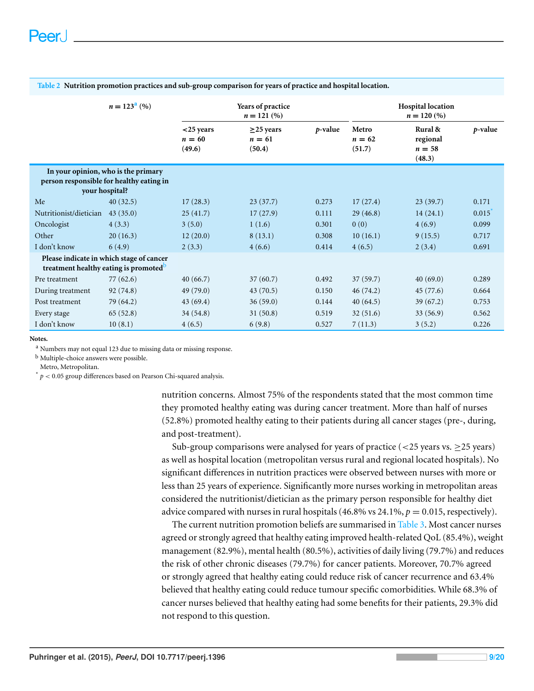|                                                                                               | $n = 123a$ (%)                                                                                    | Years of practice<br>$n = 121 (%)$ |                                     |         | <b>Hospital location</b><br>$n = 120\,(%)$ |                                         |            |
|-----------------------------------------------------------------------------------------------|---------------------------------------------------------------------------------------------------|------------------------------------|-------------------------------------|---------|--------------------------------------------|-----------------------------------------|------------|
|                                                                                               |                                                                                                   | $<$ 25 years<br>$n = 60$<br>(49.6) | $\geq$ 25 years<br>$n=61$<br>(50.4) | p-value | Metro<br>$n = 62$<br>(51.7)                | Rural &<br>regional<br>$n=58$<br>(48.3) | $p$ -value |
|                                                                                               | In your opinion, who is the primary<br>person responsible for healthy eating in<br>your hospital? |                                    |                                     |         |                                            |                                         |            |
| Me                                                                                            | 40(32.5)                                                                                          | 17(28.3)                           | 23(37.7)                            | 0.273   | 17(27.4)                                   | 23(39.7)                                | 0.171      |
| Nutritionist/dietician                                                                        | 43(35.0)                                                                                          | 25(41.7)                           | 17(27.9)                            | 0.111   | 29(46.8)                                   | 14(24.1)                                | 0.015      |
| Oncologist                                                                                    | 4(3.3)                                                                                            | 3(5.0)                             | 1(1.6)                              | 0.301   | 0(0)                                       | 4(6.9)                                  | 0.099      |
| Other                                                                                         | 20(16.3)                                                                                          | 12(20.0)                           | 8(13.1)                             | 0.308   | 10(16.1)                                   | 9(15.5)                                 | 0.717      |
| I don't know                                                                                  | 6(4.9)                                                                                            | 2(3.3)                             | 4(6.6)                              | 0.414   | 4(6.5)                                     | 2(3.4)                                  | 0.691      |
| Please indicate in which stage of cancer<br>treatment healthy eating is promoted <sup>b</sup> |                                                                                                   |                                    |                                     |         |                                            |                                         |            |
| Pre treatment                                                                                 | 77 (62.6)                                                                                         | 40(66.7)                           | 37(60.7)                            | 0.492   | 37(59.7)                                   | 40(69.0)                                | 0.289      |
| During treatment                                                                              | 92 (74.8)                                                                                         | 49(79.0)                           | 43(70.5)                            | 0.150   | 46(74.2)                                   | 45(77.6)                                | 0.664      |
| Post treatment                                                                                | 79 (64.2)                                                                                         | 43(69.4)                           | 36(59.0)                            | 0.144   | 40(64.5)                                   | 39(67.2)                                | 0.753      |
| Every stage                                                                                   | 65(52.8)                                                                                          | 34(54.8)                           | 31(50.8)                            | 0.519   | 32(51.6)                                   | 33(56.9)                                | 0.562      |
| I don't know                                                                                  | 10(8.1)                                                                                           | 4(6.5)                             | 6(9.8)                              | 0.527   | 7(11.3)                                    | 3(5.2)                                  | 0.226      |

<span id="page-9-0"></span>**Table 2 Nutrition promotion practices and sub-group comparison for years of practice and hospital location.**

**Notes.**

<span id="page-9-1"></span><sup>a</sup> Numbers may not equal 123 due to missing data or missing response.

<span id="page-9-3"></span>b Multiple-choice answers were possible.

Metro, Metropolitan.

<span id="page-9-2"></span> $p^*$   $p < 0.05$  group differences based on Pearson Chi-squared analysis.

nutrition concerns. Almost 75% of the respondents stated that the most common time they promoted healthy eating was during cancer treatment. More than half of nurses (52.8%) promoted healthy eating to their patients during all cancer stages (pre-, during, and post-treatment).

Sub-group comparisons were analysed for years of practice ( $\langle$ 25 years vs.  $\geq$ 25 years) as well as hospital location (metropolitan versus rural and regional located hospitals). No significant differences in nutrition practices were observed between nurses with more or less than 25 years of experience. Significantly more nurses working in metropolitan areas considered the nutritionist/dietician as the primary person responsible for healthy diet advice compared with nurses in rural hospitals  $(46.8\% \text{ vs } 24.1\%, p = 0.015, \text{ respectively}).$ 

The current nutrition promotion beliefs are summarised in [Table 3.](#page-10-0) Most cancer nurses agreed or strongly agreed that healthy eating improved health-related QoL (85.4%), weight management (82.9%), mental health (80.5%), activities of daily living (79.7%) and reduces the risk of other chronic diseases (79.7%) for cancer patients. Moreover, 70.7% agreed or strongly agreed that healthy eating could reduce risk of cancer recurrence and 63.4% believed that healthy eating could reduce tumour specific comorbidities. While 68.3% of cancer nurses believed that healthy eating had some benefits for their patients, 29.3% did not respond to this question.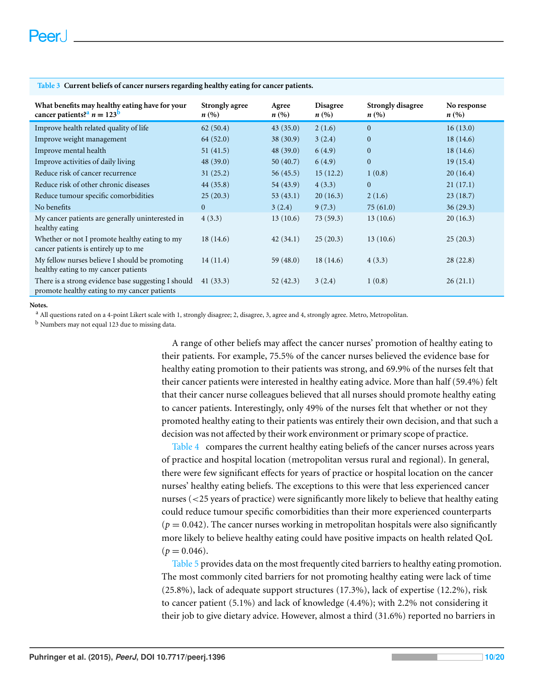| What benefits may healthy eating have for your<br>cancer patients? <sup>a</sup> $n = 123^b$         | <b>Strongly agree</b><br>$n\left(\%\right)$ | Agree<br>n(%) | <b>Disagree</b><br>$n\left(\%\right)$ | <b>Strongly disagree</b><br>$n\left(\%\right)$ | No response<br>$n\left(\%\right)$ |
|-----------------------------------------------------------------------------------------------------|---------------------------------------------|---------------|---------------------------------------|------------------------------------------------|-----------------------------------|
| Improve health related quality of life                                                              | 62(50.4)                                    | 43(35.0)      | 2(1.6)                                | $\mathbf{0}$                                   | 16(13.0)                          |
| Improve weight management                                                                           | 64 (52.0)                                   | 38(30.9)      | 3(2.4)                                | $\mathbf{0}$                                   | 18(14.6)                          |
| Improve mental health                                                                               | 51(41.5)                                    | 48(39.0)      | 6(4.9)                                | $\mathbf{0}$                                   | 18(14.6)                          |
| Improve activities of daily living                                                                  | 48(39.0)                                    | 50(40.7)      | 6(4.9)                                | $\mathbf{0}$                                   | 19(15.4)                          |
| Reduce risk of cancer recurrence                                                                    | 31(25.2)                                    | 56(45.5)      | 15(12.2)                              | 1(0.8)                                         | 20(16.4)                          |
| Reduce risk of other chronic diseases                                                               | 44(35.8)                                    | 54(43.9)      | 4(3.3)                                | $\mathbf{0}$                                   | 21(17.1)                          |
| Reduce tumour specific comorbidities                                                                | 25(20.3)                                    | 53(43.1)      | 20(16.3)                              | 2(1.6)                                         | 23(18.7)                          |
| No benefits                                                                                         | $\theta$                                    | 3(2.4)        | 9(7.3)                                | 75(61.0)                                       | 36(29.3)                          |
| My cancer patients are generally uninterested in<br>healthy eating                                  | 4(3.3)                                      | 13(10.6)      | 73(59.3)                              | 13(10.6)                                       | 20(16.3)                          |
| Whether or not I promote healthy eating to my<br>cancer patients is entirely up to me               | 18(14.6)                                    | 42(34.1)      | 25(20.3)                              | 13(10.6)                                       | 25(20.3)                          |
| My fellow nurses believe I should be promoting<br>healthy eating to my cancer patients              | 14(11.4)                                    | 59(48.0)      | 18(14.6)                              | 4(3.3)                                         | 28(22.8)                          |
| There is a strong evidence base suggesting I should<br>promote healthy eating to my cancer patients | 41(33.3)                                    | 52(42.3)      | 3(2.4)                                | 1(0.8)                                         | 26(21.1)                          |

<span id="page-10-0"></span>**Table 3 Current beliefs of cancer nursers regarding healthy eating for cancer patients.**

**Notes.**

<span id="page-10-1"></span><sup>a</sup> All questions rated on a 4-point Likert scale with 1, strongly disagree; 2, disagree, 3, agree and 4, strongly agree. Metro, Metropolitan.

<span id="page-10-2"></span>b Numbers may not equal 123 due to missing data.

A range of other beliefs may affect the cancer nurses' promotion of healthy eating to their patients. For example, 75.5% of the cancer nurses believed the evidence base for healthy eating promotion to their patients was strong, and 69.9% of the nurses felt that their cancer patients were interested in healthy eating advice. More than half (59.4%) felt that their cancer nurse colleagues believed that all nurses should promote healthy eating to cancer patients. Interestingly, only 49% of the nurses felt that whether or not they promoted healthy eating to their patients was entirely their own decision, and that such a decision was not affected by their work environment or primary scope of practice.

[Table 4](#page-11-0) compares the current healthy eating beliefs of the cancer nurses across years of practice and hospital location (metropolitan versus rural and regional). In general, there were few significant effects for years of practice or hospital location on the cancer nurses' healthy eating beliefs. The exceptions to this were that less experienced cancer nurses (<25 years of practice) were significantly more likely to believe that healthy eating could reduce tumour specific comorbidities than their more experienced counterparts  $(p = 0.042)$ . The cancer nurses working in metropolitan hospitals were also significantly more likely to believe healthy eating could have positive impacts on health related QoL  $(p = 0.046)$ .

[Table 5](#page-11-1) provides data on the most frequently cited barriers to healthy eating promotion. The most commonly cited barriers for not promoting healthy eating were lack of time (25.8%), lack of adequate support structures (17.3%), lack of expertise (12.2%), risk to cancer patient (5.1%) and lack of knowledge (4.4%); with 2.2% not considering it their job to give dietary advice. However, almost a third (31.6%) reported no barriers in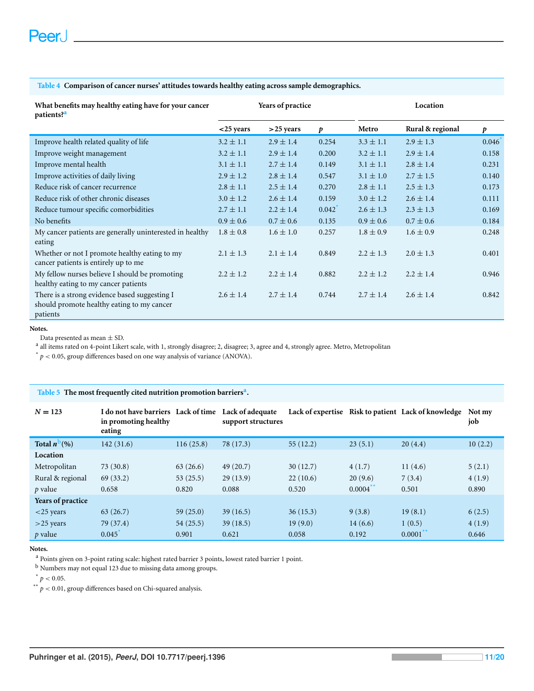#### <span id="page-11-0"></span>**Table 4 Comparison of cancer nurses' attitudes towards healthy eating across sample demographics.**

| What benefits may healthy eating have for your cancer<br>patients? <sup>a</sup>                         | Years of practice |               |       | Location      |                  |       |
|---------------------------------------------------------------------------------------------------------|-------------------|---------------|-------|---------------|------------------|-------|
|                                                                                                         | $<$ 25 years      | $>$ 25 years  | p     | Metro         | Rural & regional | p     |
| Improve health related quality of life                                                                  | $3.2 \pm 1.1$     | $2.9 \pm 1.4$ | 0.254 | $3.3 \pm 1.1$ | $2.9 \pm 1.3$    | 0.046 |
| Improve weight management                                                                               | $3.2 \pm 1.1$     | $2.9 \pm 1.4$ | 0.200 | $3.2 \pm 1.1$ | $2.9 \pm 1.4$    | 0.158 |
| Improve mental health                                                                                   | $3.1 \pm 1.1$     | $2.7 \pm 1.4$ | 0.149 | $3.1 \pm 1.1$ | $2.8 \pm 1.4$    | 0.231 |
| Improve activities of daily living                                                                      | $2.9 \pm 1.2$     | $2.8 \pm 1.4$ | 0.547 | $3.1 \pm 1.0$ | $2.7 \pm 1.5$    | 0.140 |
| Reduce risk of cancer recurrence                                                                        | $2.8 \pm 1.1$     | $2.5 \pm 1.4$ | 0.270 | $2.8 \pm 1.1$ | $2.5 \pm 1.3$    | 0.173 |
| Reduce risk of other chronic diseases                                                                   | $3.0 \pm 1.2$     | $2.6 \pm 1.4$ | 0.159 | $3.0 \pm 1.2$ | $2.6 \pm 1.4$    | 0.111 |
| Reduce tumour specific comorbidities                                                                    | $2.7 \pm 1.1$     | $2.2 \pm 1.4$ | 0.042 | $2.6 \pm 1.3$ | $2.3 \pm 1.3$    | 0.169 |
| No benefits                                                                                             | $0.9 \pm 0.6$     | $0.7 \pm 0.6$ | 0.135 | $0.9 \pm 0.6$ | $0.7 \pm 0.6$    | 0.184 |
| My cancer patients are generally uninterested in healthy<br>eating                                      | $1.8 \pm 0.8$     | $1.6 \pm 1.0$ | 0.257 | $1.8 \pm 0.9$ | $1.6 \pm 0.9$    | 0.248 |
| Whether or not I promote healthy eating to my<br>cancer patients is entirely up to me                   | $2.1 \pm 1.3$     | $2.1 \pm 1.4$ | 0.849 | $2.2 \pm 1.3$ | $2.0 \pm 1.3$    | 0.401 |
| My fellow nurses believe I should be promoting<br>healthy eating to my cancer patients                  | $2.2 \pm 1.2$     | $2.2 \pm 1.4$ | 0.882 | $2.2 \pm 1.2$ | $2.2 \pm 1.4$    | 0.946 |
| There is a strong evidence based suggesting I<br>should promote healthy eating to my cancer<br>patients | $2.6 \pm 1.4$     | $2.7 \pm 1.4$ | 0.744 | $2.7 \pm 1.4$ | $2.6 \pm 1.4$    | 0.842 |

#### **Notes.**

Data presented as mean  $\pm$  SD.

<span id="page-11-2"></span>a all items rated on 4-point Likert scale, with 1, strongly disagree; 2, disagree; 3, agree and 4, strongly agree. Metro, Metropolitan

<span id="page-11-3"></span> $*$   $p$  < 0.05, group differences based on one way analysis of variance (ANOVA).

#### <span id="page-11-1"></span>**Table 5 The most frequently cited nutrition promotion barriers[a](#page-11-4) .**

| $N = 123$         | I do not have barriers Lack of time<br>in promoting healthy<br>eating |           | Lack of adequate<br>support structures |          |             | Lack of expertise Risk to patient Lack of knowledge | Not my<br>job |
|-------------------|-----------------------------------------------------------------------|-----------|----------------------------------------|----------|-------------|-----------------------------------------------------|---------------|
| Total $n^D(\%)$   | 142(31.6)                                                             | 116(25.8) | 78 (17.3)                              | 55(12.2) | 23(5.1)     | 20(4.4)                                             | 10(2.2)       |
| Location          |                                                                       |           |                                        |          |             |                                                     |               |
| Metropolitan      | 73(30.8)                                                              | 63(26.6)  | 49(20.7)                               | 30(12.7) | 4(1.7)      | 11(4.6)                                             | 5(2.1)        |
| Rural & regional  | 69(33.2)                                                              | 53(25.5)  | 29(13.9)                               | 22(10.6) | 20(9.6)     | 7(3.4)                                              | 4(1.9)        |
| $p$ value         | 0.658                                                                 | 0.820     | 0.088                                  | 0.520    | $0.0004$ ** | 0.501                                               | 0.890         |
| Years of practice |                                                                       |           |                                        |          |             |                                                     |               |
| $<$ 25 years      | 63(26.7)                                                              | 59(25.0)  | 39(16.5)                               | 36(15.3) | 9(3.8)      | 19(8.1)                                             | 6(2.5)        |
| $>$ 25 years      | 79 (37.4)                                                             | 54(25.5)  | 39(18.5)                               | 19(9.0)  | 14(6.6)     | 1(0.5)                                              | 4(1.9)        |
| $p$ value         | 0.045                                                                 | 0.901     | 0.621                                  | 0.058    | 0.192       | $0.0001$ **                                         | 0.646         |

**Notes.**

<span id="page-11-4"></span><sup>a</sup> Points given on 3-point rating scale: highest rated barrier 3 points, lowest rated barrier 1 point.

<span id="page-11-5"></span>b Numbers may not equal 123 due to missing data among groups.

<span id="page-11-7"></span> $*$   $p < 0.05$ .

<span id="page-11-6"></span> $*$   $p$  < 0.01, group differences based on Chi-squared analysis.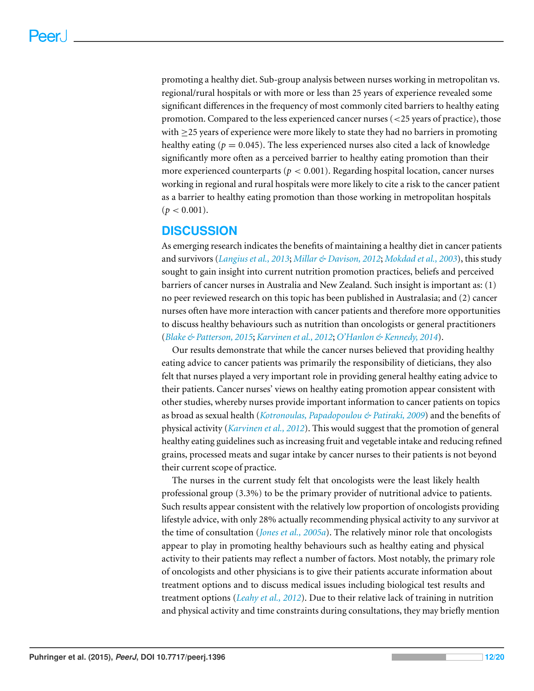promoting a healthy diet. Sub-group analysis between nurses working in metropolitan vs. regional/rural hospitals or with more or less than 25 years of experience revealed some significant differences in the frequency of most commonly cited barriers to healthy eating promotion. Compared to the less experienced cancer nurses (<25 years of practice), those with  $\geq$  25 years of experience were more likely to state they had no barriers in promoting healthy eating ( $p = 0.045$ ). The less experienced nurses also cited a lack of knowledge significantly more often as a perceived barrier to healthy eating promotion than their more experienced counterparts ( $p < 0.001$ ). Regarding hospital location, cancer nurses working in regional and rural hospitals were more likely to cite a risk to the cancer patient as a barrier to healthy eating promotion than those working in metropolitan hospitals  $(p < 0.001)$ .

# **DISCUSSION**

As emerging research indicates the benefits of maintaining a healthy diet in cancer patients and survivors (*[Langius](#page-19-8) [et](#page-19-8) [al.,](#page-19-8) [2013](#page-19-8)*; *[Millar](#page-19-9) [&](#page-19-9) [Davison,](#page-19-9) [2012](#page-19-9)*; *[Mokdad](#page-19-10) [et](#page-19-10) [al.,](#page-19-10) [2003](#page-19-10)*), this study sought to gain insight into current nutrition promotion practices, beliefs and perceived barriers of cancer nurses in Australia and New Zealand. Such insight is important as: (1) no peer reviewed research on this topic has been published in Australasia; and (2) cancer nurses often have more interaction with cancer patients and therefore more opportunities to discuss healthy behaviours such as nutrition than oncologists or general practitioners (*[Blake](#page-16-10) [&](#page-16-10) [Patterson,](#page-16-10) [2015](#page-16-10)*; *[Karvinen](#page-18-6) [et](#page-18-6) [al.,](#page-18-6) [2012](#page-18-6)*; *[O'Hanlon](#page-19-12) [&](#page-19-12) [Kennedy,](#page-19-12) [2014](#page-19-12)*).

Our results demonstrate that while the cancer nurses believed that providing healthy eating advice to cancer patients was primarily the responsibility of dieticians, they also felt that nurses played a very important role in providing general healthy eating advice to their patients. Cancer nurses' views on healthy eating promotion appear consistent with other studies, whereby nurses provide important information to cancer patients on topics as broad as sexual health (*[Kotronoulas,](#page-19-14) [Papadopoulou](#page-19-14) [&](#page-19-14) [Patiraki,](#page-19-14) [2009](#page-19-14)*) and the benefits of physical activity (*[Karvinen](#page-18-6) [et](#page-18-6) [al.,](#page-18-6) [2012](#page-18-6)*). This would suggest that the promotion of general healthy eating guidelines such as increasing fruit and vegetable intake and reducing refined grains, processed meats and sugar intake by cancer nurses to their patients is not beyond their current scope of practice.

The nurses in the current study felt that oncologists were the least likely health professional group (3.3%) to be the primary provider of nutritional advice to patients. Such results appear consistent with the relatively low proportion of oncologists providing lifestyle advice, with only 28% actually recommending physical activity to any survivor at the time of consultation (*[Jones](#page-18-7) [et](#page-18-7) [al.,](#page-18-7) [2005a](#page-18-7)*). The relatively minor role that oncologists appear to play in promoting healthy behaviours such as healthy eating and physical activity to their patients may reflect a number of factors. Most notably, the primary role of oncologists and other physicians is to give their patients accurate information about treatment options and to discuss medical issues including biological test results and treatment options (*[Leahy](#page-19-11) [et](#page-19-11) [al.,](#page-19-11) [2012](#page-19-11)*). Due to their relative lack of training in nutrition and physical activity and time constraints during consultations, they may briefly mention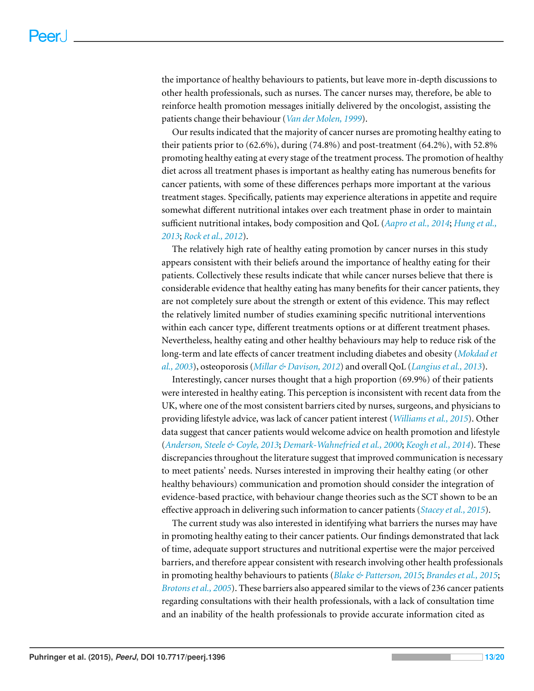the importance of healthy behaviours to patients, but leave more in-depth discussions to other health professionals, such as nurses. The cancer nurses may, therefore, be able to reinforce health promotion messages initially delivered by the oncologist, assisting the patients change their behaviour (*[Van](#page-20-7) [der](#page-20-7) [Molen,](#page-20-7) [1999](#page-20-7)*).

Our results indicated that the majority of cancer nurses are promoting healthy eating to their patients prior to (62.6%), during (74.8%) and post-treatment (64.2%), with 52.8% promoting healthy eating at every stage of the treatment process. The promotion of healthy diet across all treatment phases is important as healthy eating has numerous benefits for cancer patients, with some of these differences perhaps more important at the various treatment stages. Specifically, patients may experience alterations in appetite and require somewhat different nutritional intakes over each treatment phase in order to maintain sufficient nutritional intakes, body composition and QoL (*[Aapro](#page-16-15) [et](#page-16-15) [al.,](#page-16-15) [2014](#page-16-15)*; *[Hung](#page-18-11) [et](#page-18-11) [al.,](#page-18-11) [2013](#page-18-11)*; *[Rock](#page-20-8) [et](#page-20-8) [al.,](#page-20-8) [2012](#page-20-8)*).

The relatively high rate of healthy eating promotion by cancer nurses in this study appears consistent with their beliefs around the importance of healthy eating for their patients. Collectively these results indicate that while cancer nurses believe that there is considerable evidence that healthy eating has many benefits for their cancer patients, they are not completely sure about the strength or extent of this evidence. This may reflect the relatively limited number of studies examining specific nutritional interventions within each cancer type, different treatments options or at different treatment phases. Nevertheless, healthy eating and other healthy behaviours may help to reduce risk of the long-term and late effects of cancer treatment including diabetes and obesity (*[Mokdad](#page-19-10) [et](#page-19-10) [al.,](#page-19-10) [2003](#page-19-10)*), osteoporosis (*[Millar](#page-19-9) [&](#page-19-9) [Davison,](#page-19-9) [2012](#page-19-9)*) and overall QoL (*[Langiuset](#page-19-8) [al.,](#page-19-8) [2013](#page-19-8)*).

Interestingly, cancer nurses thought that a high proportion (69.9%) of their patients were interested in healthy eating. This perception is inconsistent with recent data from the UK, where one of the most consistent barriers cited by nurses, surgeons, and physicians to providing lifestyle advice, was lack of cancer patient interest (*[Williams](#page-20-2) [et](#page-20-2) [al.,](#page-20-2) [2015](#page-20-2)*). Other data suggest that cancer patients would welcome advice on health promotion and lifestyle (*[Anderson,](#page-16-9) [Steele](#page-16-9) [&](#page-16-9) [Coyle,](#page-16-9) [2013](#page-16-9)*; *[Demark-Wahnefried](#page-17-9) [et](#page-17-9) [al.,](#page-17-9) [2000](#page-17-9)*; *[Keogh](#page-18-12) [et](#page-18-12) [al.,](#page-18-12) [2014](#page-18-12)*). These discrepancies throughout the literature suggest that improved communication is necessary to meet patients' needs. Nurses interested in improving their healthy eating (or other healthy behaviours) communication and promotion should consider the integration of evidence-based practice, with behaviour change theories such as the SCT shown to be an effective approach in delivering such information to cancer patients (*[Stacey](#page-20-9) [et](#page-20-9) [al.,](#page-20-9) [2015](#page-20-9)*).

The current study was also interested in identifying what barriers the nurses may have in promoting healthy eating to their cancer patients. Our findings demonstrated that lack of time, adequate support structures and nutritional expertise were the major perceived barriers, and therefore appear consistent with research involving other health professionals in promoting healthy behaviours to patients (*[Blake](#page-16-10) [&](#page-16-10) [Patterson,](#page-16-10) [2015](#page-16-10)*; *[Brandes](#page-16-14) [et](#page-16-14) [al.,](#page-16-14) [2015](#page-16-14)*; *[Brotonset](#page-17-12) [al.,](#page-17-12) [2005](#page-17-12)*). These barriers also appeared similar to the views of 236 cancer patients regarding consultations with their health professionals, with a lack of consultation time and an inability of the health professionals to provide accurate information cited as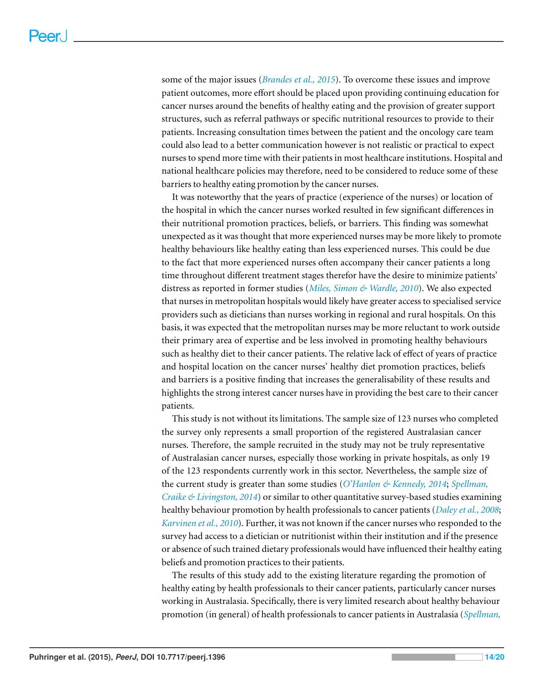some of the major issues (*[Brandes](#page-16-14) [et](#page-16-14) [al.,](#page-16-14) [2015](#page-16-14)*). To overcome these issues and improve patient outcomes, more effort should be placed upon providing continuing education for cancer nurses around the benefits of healthy eating and the provision of greater support structures, such as referral pathways or specific nutritional resources to provide to their patients. Increasing consultation times between the patient and the oncology care team could also lead to a better communication however is not realistic or practical to expect nurses to spend more time with their patients in most healthcare institutions. Hospital and national healthcare policies may therefore, need to be considered to reduce some of these barriers to healthy eating promotion by the cancer nurses.

It was noteworthy that the years of practice (experience of the nurses) or location of the hospital in which the cancer nurses worked resulted in few significant differences in their nutritional promotion practices, beliefs, or barriers. This finding was somewhat unexpected as it was thought that more experienced nurses may be more likely to promote healthy behaviours like healthy eating than less experienced nurses. This could be due to the fact that more experienced nurses often accompany their cancer patients a long time throughout different treatment stages therefor have the desire to minimize patients' distress as reported in former studies (*[Miles,](#page-19-13) [Simon](#page-19-13) [&](#page-19-13) [Wardle,](#page-19-13) [2010](#page-19-13)*). We also expected that nurses in metropolitan hospitals would likely have greater access to specialised service providers such as dieticians than nurses working in regional and rural hospitals. On this basis, it was expected that the metropolitan nurses may be more reluctant to work outside their primary area of expertise and be less involved in promoting healthy behaviours such as healthy diet to their cancer patients. The relative lack of effect of years of practice and hospital location on the cancer nurses' healthy diet promotion practices, beliefs and barriers is a positive finding that increases the generalisability of these results and highlights the strong interest cancer nurses have in providing the best care to their cancer patients.

This study is not without its limitations. The sample size of 123 nurses who completed the survey only represents a small proportion of the registered Australasian cancer nurses. Therefore, the sample recruited in the study may not be truly representative of Australasian cancer nurses, especially those working in private hospitals, as only 19 of the 123 respondents currently work in this sector. Nevertheless, the sample size of the current study is greater than some studies (*[O'Hanlon](#page-19-12) [&](#page-19-12) [Kennedy,](#page-19-12) [2014](#page-19-12)*; *[Spellman,](#page-20-5) [Craike](#page-20-5) [&](#page-20-5) [Livingston,](#page-20-5) [2014](#page-20-5)*) or similar to other quantitative survey-based studies examining healthy behaviour promotion by health professionals to cancer patients (*[Daley](#page-17-11) [et](#page-17-11) [al.,](#page-17-11) [2008](#page-17-11)*; *[Karvinen](#page-18-13) [et](#page-18-13) [al.,](#page-18-13) [2010](#page-18-13)*). Further, it was not known if the cancer nurses who responded to the survey had access to a dietician or nutritionist within their institution and if the presence or absence of such trained dietary professionals would have influenced their healthy eating beliefs and promotion practices to their patients.

The results of this study add to the existing literature regarding the promotion of healthy eating by health professionals to their cancer patients, particularly cancer nurses working in Australasia. Specifically, there is very limited research about healthy behaviour promotion (in general) of health professionals to cancer patients in Australasia (*[Spellman,](#page-20-5)*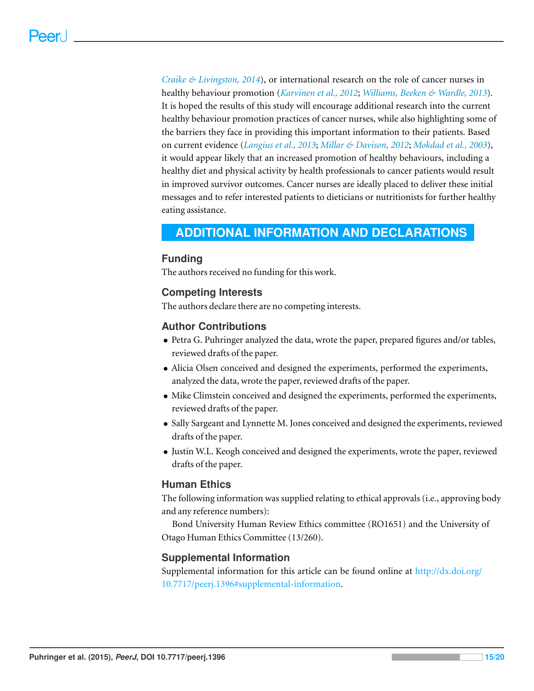*[Craike](#page-20-5) [&](#page-20-5) [Livingston,](#page-20-5) [2014](#page-20-5)*), or international research on the role of cancer nurses in healthy behaviour promotion (*[Karvinen](#page-18-6) [et](#page-18-6) [al.,](#page-18-6) [2012](#page-18-6)*; *[Williams,](#page-20-10) [Beeken](#page-20-10) [&](#page-20-10) [Wardle,](#page-20-10) [2013](#page-20-10)*). It is hoped the results of this study will encourage additional research into the current healthy behaviour promotion practices of cancer nurses, while also highlighting some of the barriers they face in providing this important information to their patients. Based on current evidence (*[Langius](#page-19-8) [et](#page-19-8) [al.,](#page-19-8) [2013](#page-19-8)*; *[Millar](#page-19-9) [&](#page-19-9) [Davison,](#page-19-9) [2012](#page-19-9)*; *[Mokdad](#page-19-10) [et](#page-19-10) [al.,](#page-19-10) [2003](#page-19-10)*), it would appear likely that an increased promotion of healthy behaviours, including a healthy diet and physical activity by health professionals to cancer patients would result in improved survivor outcomes. Cancer nurses are ideally placed to deliver these initial messages and to refer interested patients to dieticians or nutritionists for further healthy eating assistance.

# <span id="page-15-0"></span>**ADDITIONAL INFORMATION AND DECLARATIONS**

## **Funding**

The authors received no funding for this work.

## **Competing Interests**

The authors declare there are no competing interests.

## **Author Contributions**

- Petra G. Puhringer analyzed the data, wrote the paper, prepared figures and/or tables, reviewed drafts of the paper.
- Alicia Olsen conceived and designed the experiments, performed the experiments, analyzed the data, wrote the paper, reviewed drafts of the paper.
- Mike Climstein conceived and designed the experiments, performed the experiments, reviewed drafts of the paper.
- Sally Sargeant and Lynnette M. Jones conceived and designed the experiments, reviewed drafts of the paper.
- Justin W.L. Keogh conceived and designed the experiments, wrote the paper, reviewed drafts of the paper.

# **Human Ethics**

The following information was supplied relating to ethical approvals (i.e., approving body and any reference numbers):

Bond University Human Review Ethics committee (RO1651) and the University of Otago Human Ethics Committee (13/260).

# **Supplemental Information**

Supplemental information for this article can be found online at [http://dx.doi.org/](http://dx.doi.org/10.7717/peerj.1396#supplemental-information) [10.7717/peerj.1396#supplemental-information.](http://dx.doi.org/10.7717/peerj.1396#supplemental-information)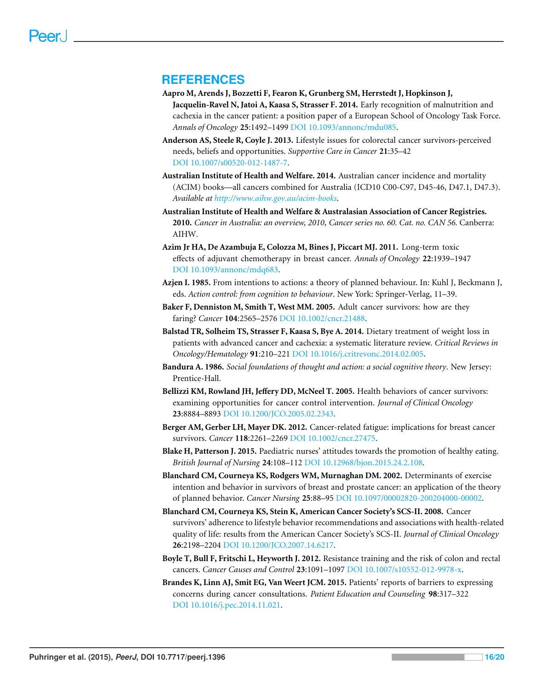## **REFERENCES**

- <span id="page-16-15"></span>**Aapro M, Arends J, Bozzetti F, Fearon K, Grunberg SM, Herrstedt J, Hopkinson J, Jacquelin-Ravel N, Jatoi A, Kaasa S, Strasser F. 2014.** Early recognition of malnutrition and cachexia in the cancer patient: a position paper of a European School of Oncology Task Force. *Annals of Oncology* **25**:1492–1499 DOI [10.1093/annonc/mdu085.](http://dx.doi.org/10.1093/annonc/mdu085)
- <span id="page-16-9"></span>**Anderson AS, Steele R, Coyle J. 2013.** Lifestyle issues for colorectal cancer survivors-perceived needs, beliefs and opportunities. *Supportive Care in Cancer* **21**:35–42 DOI [10.1007/s00520-012-1487-7.](http://dx.doi.org/10.1007/s00520-012-1487-7)
- <span id="page-16-0"></span>**Australian Institute of Health and Welfare. 2014.** Australian cancer incidence and mortality (ACIM) books—all cancers combined for Australia (ICD10 C00-C97, D45-46, D47.1, D47.3). *Available at <http://www.aihw.gov.au/acim-books>*.
- <span id="page-16-2"></span>**Australian Institute of Health and Welfare & Australasian Association of Cancer Registries. 2010.** *Cancer in Australia: an overview, 2010*, *Cancer series no. 60. Cat. no. CAN 56.* Canberra: AIHW.
- <span id="page-16-4"></span>**Azim Jr HA, De Azambuja E, Colozza M, Bines J, Piccart MJ. 2011.** Long-term toxic effects of adjuvant chemotherapy in breast cancer. *Annals of Oncology* **22**:1939–1947 DOI [10.1093/annonc/mdq683.](http://dx.doi.org/10.1093/annonc/mdq683)
- <span id="page-16-11"></span>**Azjen I. 1985.** From intentions to actions: a theory of planned behaviour. In: Kuhl J, Beckmann J, eds. *Action control: from cognition to behaviour*. New York: Springer-Verlag, 11–39.
- <span id="page-16-5"></span>**Baker F, Denniston M, Smith T, West MM. 2005.** Adult cancer survivors: how are they faring? *Cancer* **104**:2565–2576 DOI [10.1002/cncr.21488.](http://dx.doi.org/10.1002/cncr.21488)
- <span id="page-16-8"></span>**Balstad TR, Solheim TS, Strasser F, Kaasa S, Bye A. 2014.** Dietary treatment of weight loss in patients with advanced cancer and cachexia: a systematic literature review. *Critical Reviews in Oncology/Hematology* **91**:210–221 DOI [10.1016/j.critrevonc.2014.02.005.](http://dx.doi.org/10.1016/j.critrevonc.2014.02.005)
- <span id="page-16-12"></span>**Bandura A. 1986.** *Social foundations of thought and action: a social cognitive theory*. New Jersey: Prentice-Hall.
- <span id="page-16-6"></span>**Bellizzi KM, Rowland JH, Jeffery DD, McNeel T. 2005.** Health behaviors of cancer survivors: examining opportunities for cancer control intervention. *Journal of Clinical Oncology* **23**:8884–8893 DOI [10.1200/JCO.2005.02.2343.](http://dx.doi.org/10.1200/JCO.2005.02.2343)
- <span id="page-16-3"></span>**Berger AM, Gerber LH, Mayer DK. 2012.** Cancer-related fatigue: implications for breast cancer survivors. *Cancer* **118**:2261–2269 DOI [10.1002/cncr.27475.](http://dx.doi.org/10.1002/cncr.27475)
- <span id="page-16-10"></span>**Blake H, Patterson J. 2015.** Paediatric nurses' attitudes towards the promotion of healthy eating. *British Journal of Nursing* **24**:108–112 DOI [10.12968/bjon.2015.24.2.108.](http://dx.doi.org/10.12968/bjon.2015.24.2.108)
- <span id="page-16-13"></span>**Blanchard CM, Courneya KS, Rodgers WM, Murnaghan DM. 2002.** Determinants of exercise intention and behavior in survivors of breast and prostate cancer: an application of the theory of planned behavior. *Cancer Nursing* **25**:88–95 DOI [10.1097/00002820-200204000-00002.](http://dx.doi.org/10.1097/00002820-200204000-00002)
- <span id="page-16-7"></span>**Blanchard CM, Courneya KS, Stein K, American Cancer Society's SCS-II. 2008.** Cancer survivors' adherence to lifestyle behavior recommendations and associations with health-related quality of life: results from the American Cancer Society's SCS-II. *Journal of Clinical Oncology* **26**:2198–2204 DOI [10.1200/JCO.2007.14.6217.](http://dx.doi.org/10.1200/JCO.2007.14.6217)
- <span id="page-16-1"></span>**Boyle T, Bull F, Fritschi L, Heyworth J. 2012.** Resistance training and the risk of colon and rectal cancers. *Cancer Causes and Control* **23**:1091–1097 DOI [10.1007/s10552-012-9978-x.](http://dx.doi.org/10.1007/s10552-012-9978-x)
- <span id="page-16-14"></span>**Brandes K, Linn AJ, Smit EG, Van Weert JCM. 2015.** Patients' reports of barriers to expressing concerns during cancer consultations. *Patient Education and Counseling* **98**:317–322 DOI [10.1016/j.pec.2014.11.021.](http://dx.doi.org/10.1016/j.pec.2014.11.021)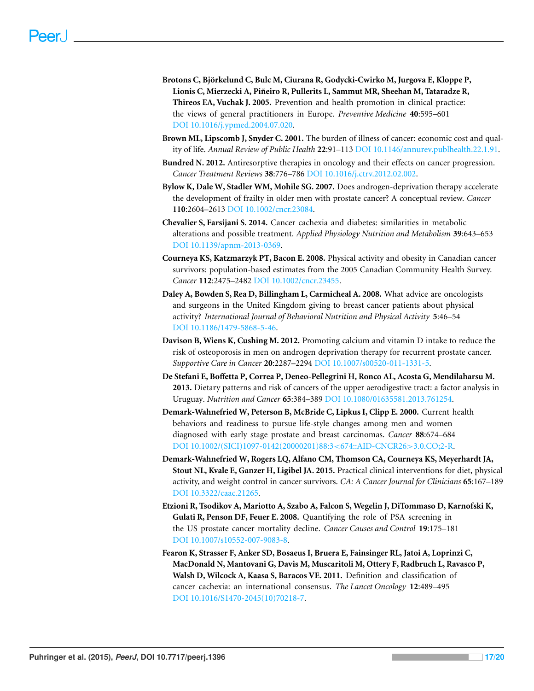- <span id="page-17-12"></span>**Brotons C, Bjorkelund C, Bulc M, Ciurana R, Godycki-Cwirko M, Jurgova E, Kloppe P, ¨ Lionis C, Mierzecki A, Pineiro R, Pullerits L, Sammut MR, Sheehan M, Tataradze R, ˜ Thireos EA, Vuchak J. 2005.** Prevention and health promotion in clinical practice: the views of general practitioners in Europe. *Preventive Medicine* **40**:595–601 DOI [10.1016/j.ypmed.2004.07.020.](http://dx.doi.org/10.1016/j.ypmed.2004.07.020)
- <span id="page-17-0"></span>**Brown ML, Lipscomb J, Snyder C. 2001.** The burden of illness of cancer: economic cost and quality of life. *Annual Review of Public Health* **22**:91–113 DOI [10.1146/annurev.publhealth.22.1.91.](http://dx.doi.org/10.1146/annurev.publhealth.22.1.91)
- <span id="page-17-5"></span>**Bundred N. 2012.** Antiresorptive therapies in oncology and their effects on cancer progression. *Cancer Treatment Reviews* **38**:776–786 DOI [10.1016/j.ctrv.2012.02.002.](http://dx.doi.org/10.1016/j.ctrv.2012.02.002)
- <span id="page-17-4"></span>**Bylow K, Dale W, Stadler WM, Mohile SG. 2007.** Does androgen-deprivation therapy accelerate the development of frailty in older men with prostate cancer? A conceptual review. *Cancer* **110**:2604–2613 DOI [10.1002/cncr.23084.](http://dx.doi.org/10.1002/cncr.23084)
- <span id="page-17-8"></span>**Chevalier S, Farsijani S. 2014.** Cancer cachexia and diabetes: similarities in metabolic alterations and possible treatment. *Applied Physiology Nutrition and Metabolism* **39**:643–653 DOI [10.1139/apnm-2013-0369.](http://dx.doi.org/10.1139/apnm-2013-0369)
- <span id="page-17-7"></span>**Courneya KS, Katzmarzyk PT, Bacon E. 2008.** Physical activity and obesity in Canadian cancer survivors: population-based estimates from the 2005 Canadian Community Health Survey. *Cancer* **112**:2475–2482 DOI [10.1002/cncr.23455.](http://dx.doi.org/10.1002/cncr.23455)
- <span id="page-17-11"></span>**Daley A, Bowden S, Rea D, Billingham L, Carmicheal A. 2008.** What advice are oncologists and surgeons in the United Kingdom giving to breast cancer patients about physical activity? *International Journal of Behavioral Nutrition and Physical Activity* **5**:46–54 DOI [10.1186/1479-5868-5-46.](http://dx.doi.org/10.1186/1479-5868-5-46)
- <span id="page-17-10"></span>**Davison B, Wiens K, Cushing M. 2012.** Promoting calcium and vitamin D intake to reduce the risk of osteoporosis in men on androgen deprivation therapy for recurrent prostate cancer. *Supportive Care in Cancer* **20**:2287–2294 DOI [10.1007/s00520-011-1331-5.](http://dx.doi.org/10.1007/s00520-011-1331-5)
- <span id="page-17-1"></span>**De Stefani E, Boffetta P, Correa P, Deneo-Pellegrini H, Ronco AL, Acosta G, Mendilaharsu M. 2013.** Dietary patterns and risk of cancers of the upper aerodigestive tract: a factor analysis in Uruguay. *Nutrition and Cancer* **65**:384–389 DOI [10.1080/01635581.2013.761254.](http://dx.doi.org/10.1080/01635581.2013.761254)
- <span id="page-17-9"></span>**Demark-Wahnefried W, Peterson B, McBride C, Lipkus I, Clipp E. 2000.** Current health behaviors and readiness to pursue life-style changes among men and women diagnosed with early stage prostate and breast carcinomas. *Cancer* **88**:674–684 DOI [10.1002/\(SICI\)1097-0142\(20000201\)88:3](http://dx.doi.org/10.1002/(SICI)1097-0142(20000201)88:3%3C674::AID-CNCR26%3E3.0.CO;2-R)<674::AID-CNCR26>3.0.CO;2-R.
- <span id="page-17-6"></span>**Demark-Wahnefried W, Rogers LQ, Alfano CM, Thomson CA, Courneya KS, Meyerhardt JA, Stout NL, Kvale E, Ganzer H, Ligibel JA. 2015.** Practical clinical interventions for diet, physical activity, and weight control in cancer survivors. *CA: A Cancer Journal for Clinicians* **65**:167–189 DOI [10.3322/caac.21265.](http://dx.doi.org/10.3322/caac.21265)
- <span id="page-17-2"></span>**Etzioni R, Tsodikov A, Mariotto A, Szabo A, Falcon S, Wegelin J, DiTommaso D, Karnofski K, Gulati R, Penson DF, Feuer E. 2008.** Quantifying the role of PSA screening in the US prostate cancer mortality decline. *Cancer Causes and Control* **19**:175–181 DOI [10.1007/s10552-007-9083-8.](http://dx.doi.org/10.1007/s10552-007-9083-8)
- <span id="page-17-3"></span>**Fearon K, Strasser F, Anker SD, Bosaeus I, Bruera E, Fainsinger RL, Jatoi A, Loprinzi C, MacDonald N, Mantovani G, Davis M, Muscaritoli M, Ottery F, Radbruch L, Ravasco P, Walsh D, Wilcock A, Kaasa S, Baracos VE. 2011.** Definition and classification of cancer cachexia: an international consensus. *The Lancet Oncology* **12**:489–495 DOI [10.1016/S1470-2045\(10\)70218-7.](http://dx.doi.org/10.1016/S1470-2045(10)70218-7)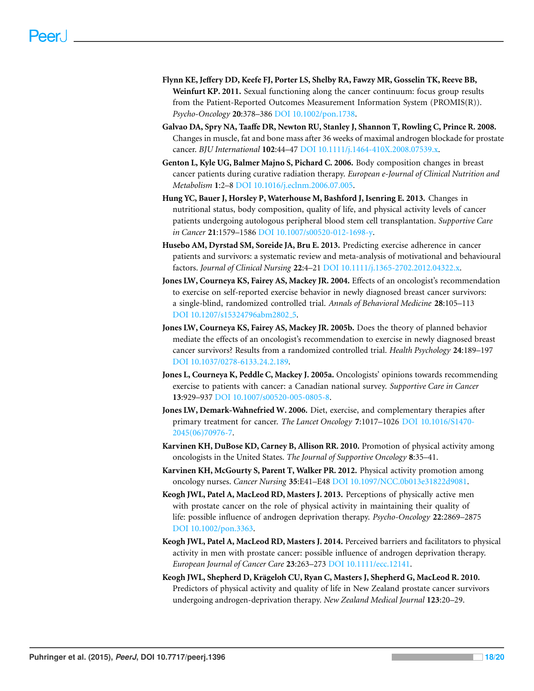- <span id="page-18-2"></span>**Flynn KE, Jeffery DD, Keefe FJ, Porter LS, Shelby RA, Fawzy MR, Gosselin TK, Reeve BB, Weinfurt KP. 2011.** Sexual functioning along the cancer continuum: focus group results from the Patient-Reported Outcomes Measurement Information System (PROMIS(R)). *Psycho-Oncology* **20**:378–386 DOI [10.1002/pon.1738.](http://dx.doi.org/10.1002/pon.1738)
- <span id="page-18-0"></span>**Galvao DA, Spry NA, Taaffe DR, Newton RU, Stanley J, Shannon T, Rowling C, Prince R. 2008.** Changes in muscle, fat and bone mass after 36 weeks of maximal androgen blockade for prostate cancer. *BJU International* **102**:44–47 DOI [10.1111/j.1464-410X.2008.07539.x.](http://dx.doi.org/10.1111/j.1464-410X.2008.07539.x)
- <span id="page-18-1"></span>**Genton L, Kyle UG, Balmer Majno S, Pichard C. 2006.** Body composition changes in breast cancer patients during curative radiation therapy. *European e-Journal of Clinical Nutrition and Metabolism* **1**:2–8 DOI [10.1016/j.eclnm.2006.07.005.](http://dx.doi.org/10.1016/j.eclnm.2006.07.005)
- <span id="page-18-11"></span>**Hung YC, Bauer J, Horsley P, Waterhouse M, Bashford J, Isenring E. 2013.** Changes in nutritional status, body composition, quality of life, and physical activity levels of cancer patients undergoing autologous peripheral blood stem cell transplantation. *Supportive Care in Cancer* **21**:1579–1586 DOI [10.1007/s00520-012-1698-y.](http://dx.doi.org/10.1007/s00520-012-1698-y)
- <span id="page-18-9"></span>**Husebo AM, Dyrstad SM, Soreide JA, Bru E. 2013.** Predicting exercise adherence in cancer patients and survivors: a systematic review and meta-analysis of motivational and behavioural factors. *Journal of Clinical Nursing* **22**:4–21 DOI [10.1111/j.1365-2702.2012.04322.x.](http://dx.doi.org/10.1111/j.1365-2702.2012.04322.x)
- <span id="page-18-4"></span>**Jones LW, Courneya KS, Fairey AS, Mackey JR. 2004.** Effects of an oncologist's recommendation to exercise on self-reported exercise behavior in newly diagnosed breast cancer survivors: a single-blind, randomized controlled trial. *Annals of Behavioral Medicine* **28**:105–113 DOI [10.1207/s15324796abm2802](http://dx.doi.org/10.1207/s15324796abm2802_5) 5.
- <span id="page-18-8"></span>**Jones LW, Courneya KS, Fairey AS, Mackey JR. 2005b.** Does the theory of planned behavior mediate the effects of an oncologist's recommendation to exercise in newly diagnosed breast cancer survivors? Results from a randomized controlled trial. *Health Psychology* **24**:189–197 DOI [10.1037/0278-6133.24.2.189.](http://dx.doi.org/10.1037/0278-6133.24.2.189)
- <span id="page-18-7"></span>**Jones L, Courneya K, Peddle C, Mackey J. 2005a.** Oncologists' opinions towards recommending exercise to patients with cancer: a Canadian national survey. *Supportive Care in Cancer* **13**:929–937 DOI [10.1007/s00520-005-0805-8.](http://dx.doi.org/10.1007/s00520-005-0805-8)
- <span id="page-18-5"></span>**Jones LW, Demark-Wahnefried W. 2006.** Diet, exercise, and complementary therapies after primary treatment for cancer. *The Lancet Oncology* **7**:1017–1026 DOI [10.1016/S1470-](http://dx.doi.org/10.1016/S1470-2045(06)70976-7) [2045\(06\)70976-7.](http://dx.doi.org/10.1016/S1470-2045(06)70976-7)
- <span id="page-18-13"></span>**Karvinen KH, DuBose KD, Carney B, Allison RR. 2010.** Promotion of physical activity among oncologists in the United States. *The Journal of Supportive Oncology* **8**:35–41.
- <span id="page-18-6"></span>**Karvinen KH, McGourty S, Parent T, Walker PR. 2012.** Physical activity promotion among oncology nurses. *Cancer Nursing* **35**:E41–E48 DOI [10.1097/NCC.0b013e31822d9081.](http://dx.doi.org/10.1097/NCC.0b013e31822d9081)
- <span id="page-18-3"></span>**Keogh JWL, Patel A, MacLeod RD, Masters J. 2013.** Perceptions of physically active men with prostate cancer on the role of physical activity in maintaining their quality of life: possible influence of androgen deprivation therapy. *Psycho-Oncology* **22**:2869–2875 DOI [10.1002/pon.3363.](http://dx.doi.org/10.1002/pon.3363)
- <span id="page-18-12"></span>**Keogh JWL, Patel A, MacLeod RD, Masters J. 2014.** Perceived barriers and facilitators to physical activity in men with prostate cancer: possible influence of androgen deprivation therapy. *European Journal of Cancer Care* **23**:263–273 DOI [10.1111/ecc.12141.](http://dx.doi.org/10.1111/ecc.12141)
- <span id="page-18-10"></span>**Keogh JWL, Shepherd D, Krageloh CU, Ryan C, Masters J, Shepherd G, MacLeod R. 2010. ¨** Predictors of physical activity and quality of life in New Zealand prostate cancer survivors undergoing androgen-deprivation therapy. *New Zealand Medical Journal* **123**:20–29.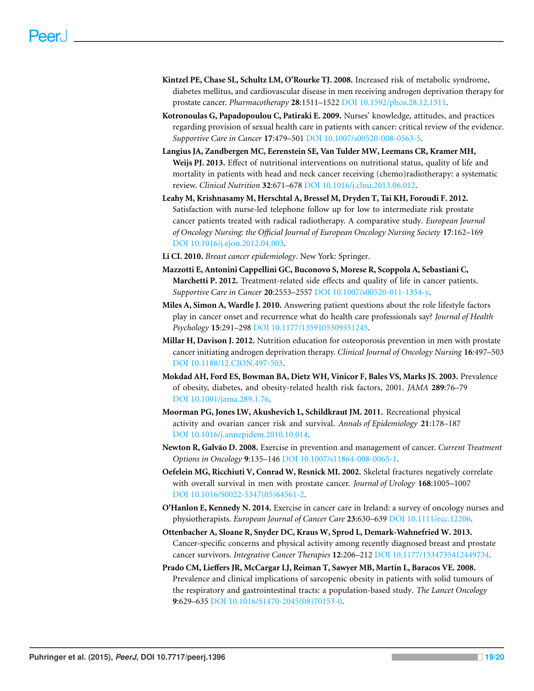- <span id="page-19-4"></span>**Kintzel PE, Chase SL, Schultz LM, O'Rourke TJ. 2008.** Increased risk of metabolic syndrome, diabetes mellitus, and cardiovascular disease in men receiving androgen deprivation therapy for prostate cancer. *Pharmacotherapy* **28**:1511–1522 DOI [10.1592/phco.28.12.1511.](http://dx.doi.org/10.1592/phco.28.12.1511)
- <span id="page-19-14"></span>**Kotronoulas G, Papadopoulou C, Patiraki E. 2009.** Nurses' knowledge, attitudes, and practices regarding provision of sexual health care in patients with cancer: critical review of the evidence. *Supportive Care in Cancer* **17**:479–501 DOI [10.1007/s00520-008-0563-5.](http://dx.doi.org/10.1007/s00520-008-0563-5)
- <span id="page-19-8"></span>**Langius JA, Zandbergen MC, Eerenstein SE, Van Tulder MW, Leemans CR, Kramer MH, Weijs PJ. 2013.** Effect of nutritional interventions on nutritional status, quality of life and mortality in patients with head and neck cancer receiving (chemo)radiotherapy: a systematic review. *Clinical Nutrition* **32**:671–678 DOI [10.1016/j.clnu.2013.06.012.](http://dx.doi.org/10.1016/j.clnu.2013.06.012)
- <span id="page-19-11"></span>**Leahy M, Krishnasamy M, Herschtal A, Bressel M, Dryden T, Tai KH, Foroudi F. 2012.** Satisfaction with nurse-led telephone follow up for low to intermediate risk prostate cancer patients treated with radical radiotherapy. A comparative study. *European Journal of Oncology Nursing: the Official Journal of European Oncology Nursing Society* **17**:162–169 DOI [10.1016/j.ejon.2012.04.003.](http://dx.doi.org/10.1016/j.ejon.2012.04.003)
- <span id="page-19-0"></span>**Li CI. 2010.** *Breast cancer epidemiology*. New York: Springer.
- <span id="page-19-3"></span>**Mazzotti E, Antonini Cappellini GC, Buconovo S, Morese R, Scoppola A, Sebastiani C, Marchetti P. 2012.** Treatment-related side effects and quality of life in cancer patients. *Supportive Care in Cancer* **20**:2553–2557 DOI [10.1007/s00520-011-1354-y.](http://dx.doi.org/10.1007/s00520-011-1354-y)
- <span id="page-19-13"></span>**Miles A, Simon A, Wardle J. 2010.** Answering patient questions about the role lifestyle factors play in cancer onset and recurrence what do health care professionals say? *Journal of Health Psychology* **15**:291–298 DOI [10.1177/1359105309351245.](http://dx.doi.org/10.1177/1359105309351245)
- <span id="page-19-9"></span>**Millar H, Davison J. 2012.** Nutrition education for osteoporosis prevention in men with prostate cancer initiating androgen deprivation therapy. *Clinical Journal of Oncology Nursing* **16**:497–503 DOI [10.1188/12.CJON.497-503.](http://dx.doi.org/10.1188/12.CJON.497-503)
- <span id="page-19-10"></span>**Mokdad AH, Ford ES, Bowman BA, Dietz WH, Vinicor F, Bales VS, Marks JS. 2003.** Prevalence of obesity, diabetes, and obesity-related health risk factors, 2001. *JAMA* **289**:76–79 DOI [10.1001/jama.289.1.76.](http://dx.doi.org/10.1001/jama.289.1.76)
- <span id="page-19-2"></span>**Moorman PG, Jones LW, Akushevich L, Schildkraut JM. 2011.** Recreational physical activity and ovarian cancer risk and survival. *Annals of Epidemiology* **21**:178–187 DOI [10.1016/j.annepidem.2010.10.014.](http://dx.doi.org/10.1016/j.annepidem.2010.10.014)
- <span id="page-19-1"></span>**Newton R, Galvao D. 2008. ˜** Exercise in prevention and management of cancer. *Current Treatment Options in Oncology* **9**:135–146 DOI [10.1007/s11864-008-0065-1.](http://dx.doi.org/10.1007/s11864-008-0065-1)
- <span id="page-19-5"></span>**Oefelein MG, Ricchiuti V, Conrad W, Resnick MI. 2002.** Skeletal fractures negatively correlate with overall survival in men with prostate cancer. *Journal of Urology* **168**:1005–1007 DOI [10.1016/S0022-5347\(05\)64561-2.](http://dx.doi.org/10.1016/S0022-5347(05)64561-2)
- <span id="page-19-12"></span>**O'Hanlon E, Kennedy N. 2014.** Exercise in cancer care in Ireland: a survey of oncology nurses and physiotherapists. *European Journal of Cancer Care* **23**:630–639 DOI [10.1111/ecc.12206.](http://dx.doi.org/10.1111/ecc.12206)
- <span id="page-19-7"></span>**Ottenbacher A, Sloane R, Snyder DC, Kraus W, Sprod L, Demark-Wahnefried W. 2013.** Cancer-specific concerns and physical activity among recently diagnosed breast and prostate cancer survivors. *Integrative Cancer Therapies* **12**:206–212 DOI [10.1177/1534735412449734.](http://dx.doi.org/10.1177/1534735412449734)
- <span id="page-19-6"></span>**Prado CM, Lieffers JR, McCargar LJ, Reiman T, Sawyer MB, Martin L, Baracos VE. 2008.** Prevalence and clinical implications of sarcopenic obesity in patients with solid tumours of the respiratory and gastrointestinal tracts: a population-based study. *The Lancet Oncology* **9**:629–635 DOI [10.1016/S1470-2045\(08\)70153-0.](http://dx.doi.org/10.1016/S1470-2045(08)70153-0)